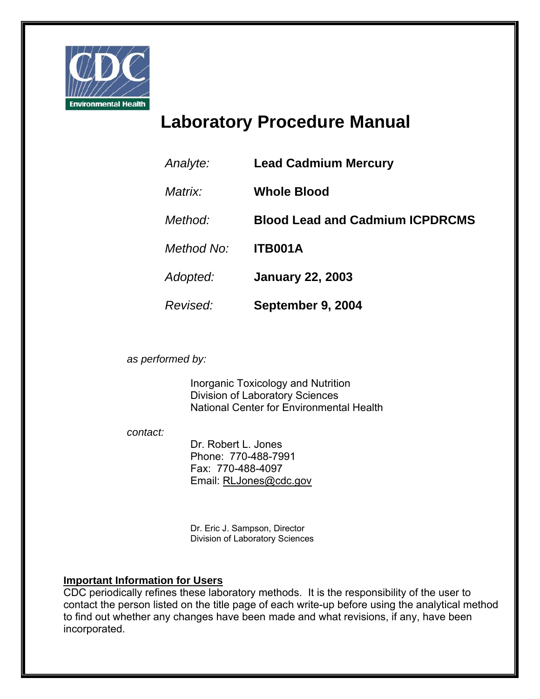

# **Laboratory Procedure Manual**

| Analyte:   | <b>Lead Cadmium Mercury</b>            |
|------------|----------------------------------------|
| Matrix:    | <b>Whole Blood</b>                     |
| Method:    | <b>Blood Lead and Cadmium ICPDRCMS</b> |
| Method No: | <b>ITB001A</b>                         |
| Adopted:   | <b>January 22, 2003</b>                |
| Revised:   | September 9, 2004                      |

*as performed by:* 

Inorganic Toxicology and Nutrition Division of Laboratory Sciences National Center for Environmental Health

*contact:* 

Dr. Robert L. Jones Phone: 770-488-7991 Fax: 770-488-4097 Email: RLJones@cdc.gov

Dr. Eric J. Sampson, Director Division of Laboratory Sciences

### **Important Information for Users**

CDC periodically refines these laboratory methods. It is the responsibility of the user to contact the person listed on the title page of each write-up before using the analytical method to find out whether any changes have been made and what revisions, if any, have been incorporated.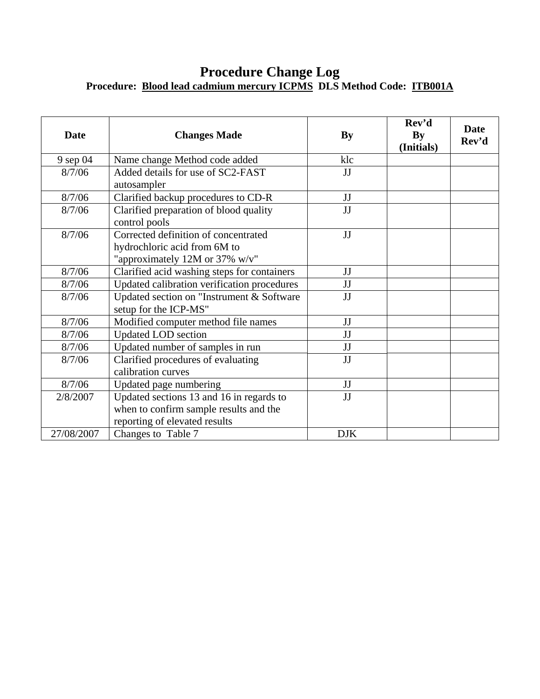### **Procedure Change Log Procedure: Blood lead cadmium mercury ICPMS DLS Method Code: ITB001A**

| <b>Date</b> | <b>Changes Made</b>                                                | <b>By</b>  | Rev'd<br>By<br>(Initials) | <b>Date</b><br>Rev'd |
|-------------|--------------------------------------------------------------------|------------|---------------------------|----------------------|
| 9 sep 04    | Name change Method code added                                      | klc        |                           |                      |
| 8/7/06      | Added details for use of SC2-FAST<br>autosampler                   | JJ         |                           |                      |
| 8/7/06      | Clarified backup procedures to CD-R                                | JJ         |                           |                      |
| 8/7/06      | Clarified preparation of blood quality<br>control pools            | JJ         |                           |                      |
| 8/7/06      | Corrected definition of concentrated                               | JJ         |                           |                      |
|             | hydrochloric acid from 6M to                                       |            |                           |                      |
|             | "approximately 12M or 37% w/v"                                     |            |                           |                      |
| 8/7/06      | Clarified acid washing steps for containers                        | JJ         |                           |                      |
| 8/7/06      | Updated calibration verification procedures                        | JJ         |                           |                      |
| 8/7/06      | Updated section on "Instrument & Software<br>setup for the ICP-MS" | JJ         |                           |                      |
| 8/7/06      | Modified computer method file names                                | JJ         |                           |                      |
| 8/7/06      | <b>Updated LOD</b> section                                         | JJ         |                           |                      |
| 8/7/06      | Updated number of samples in run                                   | JJ         |                           |                      |
| 8/7/06      | Clarified procedures of evaluating<br>calibration curves           | JJ         |                           |                      |
| 8/7/06      | Updated page numbering                                             | JJ         |                           |                      |
| 2/8/2007    | Updated sections 13 and 16 in regards to                           | JJ         |                           |                      |
|             | when to confirm sample results and the                             |            |                           |                      |
|             | reporting of elevated results                                      |            |                           |                      |
| 27/08/2007  | Changes to Table 7                                                 | <b>DJK</b> |                           |                      |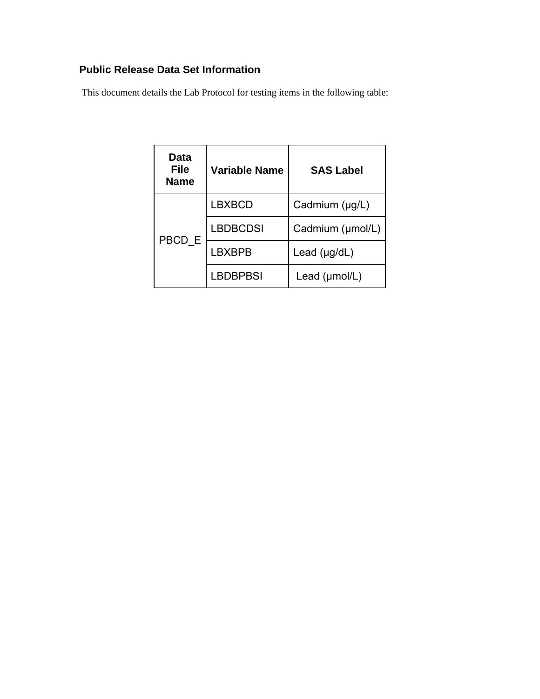### **Public Release Data Set Information**

This document details the Lab Protocol for testing items in the following table:

| Data<br><b>File</b><br><b>Name</b> | <b>Variable Name</b> | <b>SAS Label</b>          |
|------------------------------------|----------------------|---------------------------|
| PBCD E                             | <b>LBXBCD</b>        | Cadmium (µg/L)            |
|                                    | <b>LBDBCDSI</b>      | Cadmium (µmol/L)          |
|                                    | LBXBPB               | Lead (µg/dL)              |
|                                    | <b>LBDBPBSI</b>      | Lead $(\mu \text{mol/L})$ |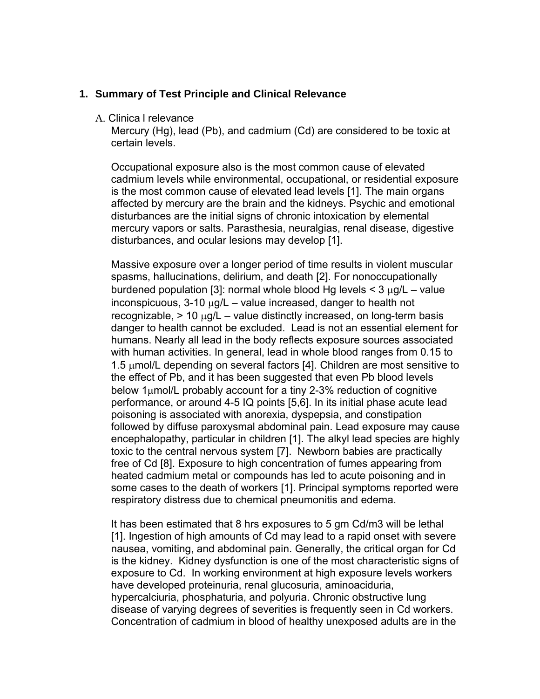#### **1. Summary of Test Principle and Clinical Relevance**

A. Clinica l relevance

Mercury (Hg), lead (Pb), and cadmium (Cd) are considered to be toxic at certain levels.

Occupational exposure also is the most common cause of elevated cadmium levels while environmental, occupational, or residential exposure is the most common cause of elevated lead levels [1]. The main organs affected by mercury are the brain and the kidneys. Psychic and emotional disturbances are the initial signs of chronic intoxication by elemental mercury vapors or salts. Parasthesia, neuralgias, renal disease, digestive disturbances, and ocular lesions may develop [1].

Massive exposure over a longer period of time results in violent muscular spasms, hallucinations, delirium, and death [2]. For nonoccupationally burdened population [3]: normal whole blood Hg levels < 3 μg/L – value inconspicuous, 3-10 μg/L – value increased, danger to health not recognizable, > 10 μg/L – value distinctly increased, on long-term basis danger to health cannot be excluded. Lead is not an essential element for humans. Nearly all lead in the body reflects exposure sources associated with human activities. In general, lead in whole blood ranges from 0.15 to 1.5 μmol/L depending on several factors [4]. Children are most sensitive to the effect of Pb, and it has been suggested that even Pb blood levels below 1μmol/L probably account for a tiny 2-3% reduction of cognitive performance, or around 4-5 IQ points [5,6]. In its initial phase acute lead poisoning is associated with anorexia, dyspepsia, and constipation followed by diffuse paroxysmal abdominal pain. Lead exposure may cause encephalopathy, particular in children [1]. The alkyl lead species are highly toxic to the central nervous system [7]. Newborn babies are practically free of Cd [8]. Exposure to high concentration of fumes appearing from heated cadmium metal or compounds has led to acute poisoning and in some cases to the death of workers [1]. Principal symptoms reported were respiratory distress due to chemical pneumonitis and edema.

It has been estimated that 8 hrs exposures to 5 gm Cd/m3 will be lethal [1]. Ingestion of high amounts of Cd may lead to a rapid onset with severe nausea, vomiting, and abdominal pain. Generally, the critical organ for Cd is the kidney. Kidney dysfunction is one of the most characteristic signs of exposure to Cd. In working environment at high exposure levels workers have developed proteinuria, renal glucosuria, aminoaciduria, hypercalciuria, phosphaturia, and polyuria. Chronic obstructive lung disease of varying degrees of severities is frequently seen in Cd workers. Concentration of cadmium in blood of healthy unexposed adults are in the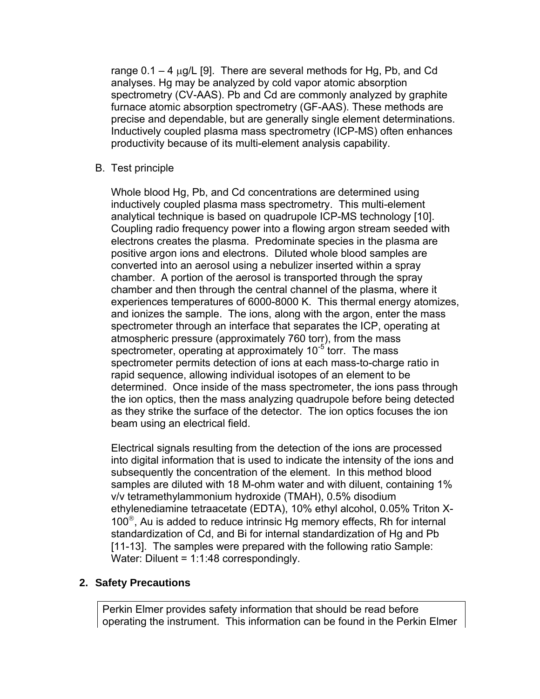range  $0.1 - 4 \mu$ g/L [9]. There are several methods for Hg, Pb, and Cd analyses. Hg may be analyzed by cold vapor atomic absorption spectrometry (CV-AAS). Pb and Cd are commonly analyzed by graphite furnace atomic absorption spectrometry (GF-AAS). These methods are precise and dependable, but are generally single element determinations. Inductively coupled plasma mass spectrometry (ICP-MS) often enhances productivity because of its multi-element analysis capability.

B. Test principle

Whole blood Hg, Pb, and Cd concentrations are determined using inductively coupled plasma mass spectrometry. This multi-element analytical technique is based on quadrupole ICP-MS technology [10]. Coupling radio frequency power into a flowing argon stream seeded with electrons creates the plasma. Predominate species in the plasma are positive argon ions and electrons. Diluted whole blood samples are converted into an aerosol using a nebulizer inserted within a spray chamber. A portion of the aerosol is transported through the spray chamber and then through the central channel of the plasma, where it experiences temperatures of 6000-8000 K. This thermal energy atomizes, and ionizes the sample. The ions, along with the argon, enter the mass spectrometer through an interface that separates the ICP, operating at atmospheric pressure (approximately 760 torr), from the mass spectrometer, operating at approximately  $10^{-5}$  torr. The mass spectrometer permits detection of ions at each mass-to-charge ratio in rapid sequence, allowing individual isotopes of an element to be determined. Once inside of the mass spectrometer, the ions pass through the ion optics, then the mass analyzing quadrupole before being detected as they strike the surface of the detector. The ion optics focuses the ion beam using an electrical field.

Electrical signals resulting from the detection of the ions are processed into digital information that is used to indicate the intensity of the ions and subsequently the concentration of the element. In this method blood samples are diluted with 18 M-ohm water and with diluent, containing 1% v/v tetramethylammonium hydroxide (TMAH), 0.5% disodium ethylenediamine tetraacetate (EDTA), 10% ethyl alcohol, 0.05% Triton X-100<sup>®</sup>, Au is added to reduce intrinsic Hg memory effects, Rh for internal standardization of Cd, and Bi for internal standardization of Hg and Pb [11-13]. The samples were prepared with the following ratio Sample: Water: Diluent = 1:1:48 correspondingly.

### **2. Safety Precautions**

Perkin Elmer provides safety information that should be read before operating the instrument. This information can be found in the Perkin Elmer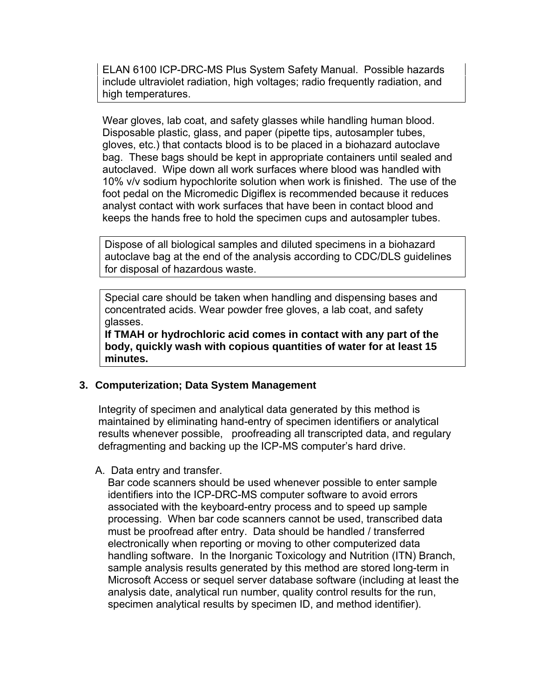ELAN 6100 ICP-DRC-MS Plus System Safety Manual. Possible hazards include ultraviolet radiation, high voltages; radio frequently radiation, and high temperatures.

Wear gloves, lab coat, and safety glasses while handling human blood. Disposable plastic, glass, and paper (pipette tips, autosampler tubes, gloves, etc.) that contacts blood is to be placed in a biohazard autoclave bag. These bags should be kept in appropriate containers until sealed and autoclaved. Wipe down all work surfaces where blood was handled with 10% v/v sodium hypochlorite solution when work is finished. The use of the foot pedal on the Micromedic Digiflex is recommended because it reduces analyst contact with work surfaces that have been in contact blood and keeps the hands free to hold the specimen cups and autosampler tubes.

Dispose of all biological samples and diluted specimens in a biohazard autoclave bag at the end of the analysis according to CDC/DLS guidelines for disposal of hazardous waste.

Special care should be taken when handling and dispensing bases and concentrated acids. Wear powder free gloves, a lab coat, and safety glasses.

**If TMAH or hydrochloric acid comes in contact with any part of the body, quickly wash with copious quantities of water for at least 15 minutes.** 

### **3. Computerization; Data System Management**

Integrity of specimen and analytical data generated by this method is maintained by eliminating hand-entry of specimen identifiers or analytical results whenever possible, proofreading all transcripted data, and regulary defragmenting and backing up the ICP-MS computer's hard drive.

### A. Data entry and transfer.

Bar code scanners should be used whenever possible to enter sample identifiers into the ICP-DRC-MS computer software to avoid errors associated with the keyboard-entry process and to speed up sample processing. When bar code scanners cannot be used, transcribed data must be proofread after entry. Data should be handled / transferred electronically when reporting or moving to other computerized data handling software. In the Inorganic Toxicology and Nutrition (ITN) Branch, sample analysis results generated by this method are stored long-term in Microsoft Access or sequel server database software (including at least the analysis date, analytical run number, quality control results for the run, specimen analytical results by specimen ID, and method identifier).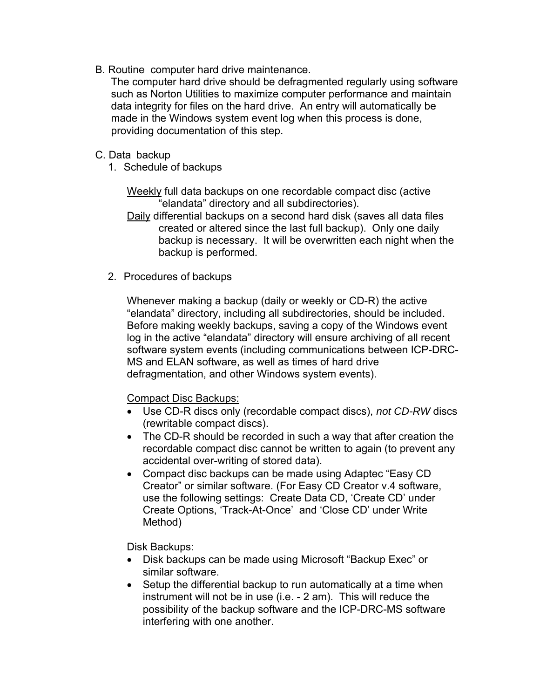B. Routine computer hard drive maintenance.

The computer hard drive should be defragmented regularly using software such as Norton Utilities to maximize computer performance and maintain data integrity for files on the hard drive. An entry will automatically be made in the Windows system event log when this process is done, providing documentation of this step.

- C. Data backup
	- 1. Schedule of backups

Weekly full data backups on one recordable compact disc (active "elandata" directory and all subdirectories).

Daily differential backups on a second hard disk (saves all data files created or altered since the last full backup). Only one daily backup is necessary. It will be overwritten each night when the backup is performed.

2. Procedures of backups

Whenever making a backup (daily or weekly or CD-R) the active "elandata" directory, including all subdirectories, should be included. Before making weekly backups, saving a copy of the Windows event log in the active "elandata" directory will ensure archiving of all recent software system events (including communications between ICP-DRC-MS and ELAN software, as well as times of hard drive defragmentation, and other Windows system events).

### Compact Disc Backups:

- Use CD-R discs only (recordable compact discs), *not CD-RW* discs (rewritable compact discs).
- The CD-R should be recorded in such a way that after creation the recordable compact disc cannot be written to again (to prevent any accidental over-writing of stored data).
- Compact disc backups can be made using Adaptec "Easy CD Creator" or similar software. (For Easy CD Creator v.4 software, use the following settings: Create Data CD, 'Create CD' under Create Options, 'Track-At-Once' and 'Close CD' under Write Method)

Disk Backups:

- Disk backups can be made using Microsoft "Backup Exec" or similar software.
- Setup the differential backup to run automatically at a time when instrument will not be in use (i.e. - 2 am). This will reduce the possibility of the backup software and the ICP-DRC-MS software interfering with one another.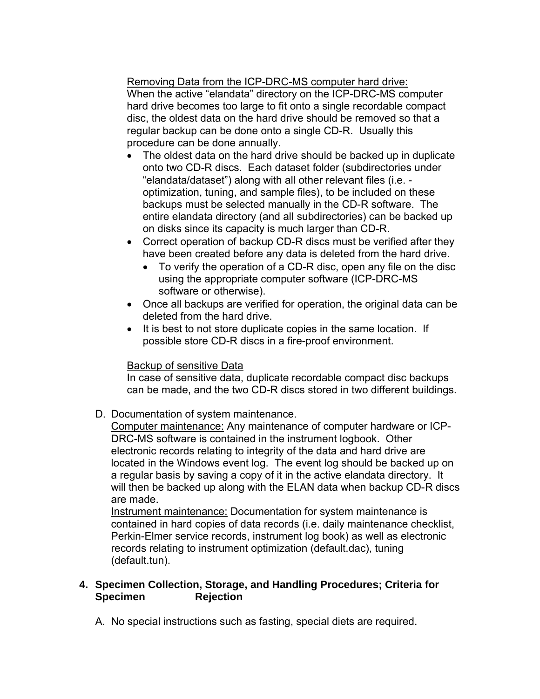Removing Data from the ICP-DRC-MS computer hard drive: When the active "elandata" directory on the ICP-DRC-MS computer hard drive becomes too large to fit onto a single recordable compact disc, the oldest data on the hard drive should be removed so that a regular backup can be done onto a single CD-R. Usually this procedure can be done annually.

- The oldest data on the hard drive should be backed up in duplicate onto two CD-R discs. Each dataset folder (subdirectories under "elandata/dataset") along with all other relevant files (i.e. optimization, tuning, and sample files), to be included on these backups must be selected manually in the CD-R software. The entire elandata directory (and all subdirectories) can be backed up on disks since its capacity is much larger than CD-R.
- Correct operation of backup CD-R discs must be verified after they have been created before any data is deleted from the hard drive.
	- To verify the operation of a CD-R disc, open any file on the disc using the appropriate computer software (ICP-DRC-MS software or otherwise).
- Once all backups are verified for operation, the original data can be deleted from the hard drive.
- It is best to not store duplicate copies in the same location. If possible store CD-R discs in a fire-proof environment.

### Backup of sensitive Data

In case of sensitive data, duplicate recordable compact disc backups can be made, and the two CD-R discs stored in two different buildings.

D. Documentation of system maintenance.

Computer maintenance: Any maintenance of computer hardware or ICP-DRC-MS software is contained in the instrument logbook. Other electronic records relating to integrity of the data and hard drive are located in the Windows event log. The event log should be backed up on a regular basis by saving a copy of it in the active elandata directory. It will then be backed up along with the ELAN data when backup CD-R discs are made.

Instrument maintenance: Documentation for system maintenance is contained in hard copies of data records (i.e. daily maintenance checklist, Perkin-Elmer service records, instrument log book) as well as electronic records relating to instrument optimization (default.dac), tuning (default.tun).

### **4. Specimen Collection, Storage, and Handling Procedures; Criteria for Specimen Rejection**

A. No special instructions such as fasting, special diets are required.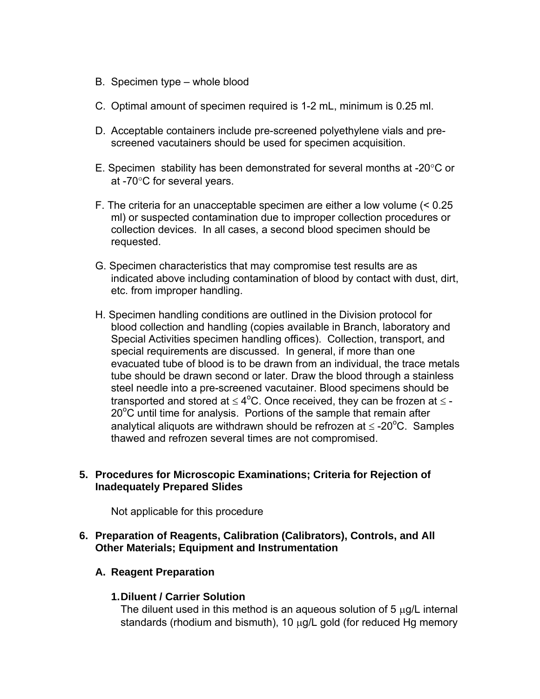- <span id="page-8-0"></span>B. Specimen type – whole blood
- C. Optimal amount of specimen required is 1-2 mL, minimum is 0.25 ml.
- D. Acceptable containers include pre-screened polyethylene vials and prescreened vacutainers should be used for specimen acquisition.
- E. Specimen stability has been demonstrated for several months at -20°C or at -70°C for several years.
- F. The criteria for an unacceptable specimen are either a low volume (< 0.25 ml) or suspected contamination due to improper collection procedures or collection devices. In all cases, a second blood specimen should be requested.
- G. Specimen characteristics that may compromise test results are as indicated above including contamination of blood by contact with dust, dirt, etc. from improper handling.
- H. Specimen handling conditions are outlined in the Division protocol for blood collection and handling (copies available in Branch, laboratory and Special Activities specimen handling offices). Collection, transport, and special requirements are discussed. In general, if more than one evacuated tube of blood is to be drawn from an individual, the trace metals tube should be drawn second or later. Draw the blood through a stainless steel needle into a pre-screened vacutainer. Blood specimens should be transported and stored at  $\leq 4^{\circ}$ C. Once received, they can be frozen at  $\leq$  - $20^{\circ}$ C until time for analysis. Portions of the sample that remain after analytical aliquots are withdrawn should be refrozen at  $\leq$  -20<sup>o</sup>C. Samples thawed and refrozen several times are not compromised.

### **5. Procedures for Microscopic Examinations; Criteria for Rejection of Inadequately Prepared Slides**

Not applicable for this procedure

### **6. Preparation of Reagents, Calibration (Calibrators), Controls, and All Other Materials; Equipment and Instrumentation**

### **A. Reagent Preparation**

#### **1. Diluent / Carrier Solution**

The diluent used in this method is an aqueous solution of 5 μg/L internal standards (rhodium and bismuth), 10 μg/L gold (for reduced Hg memory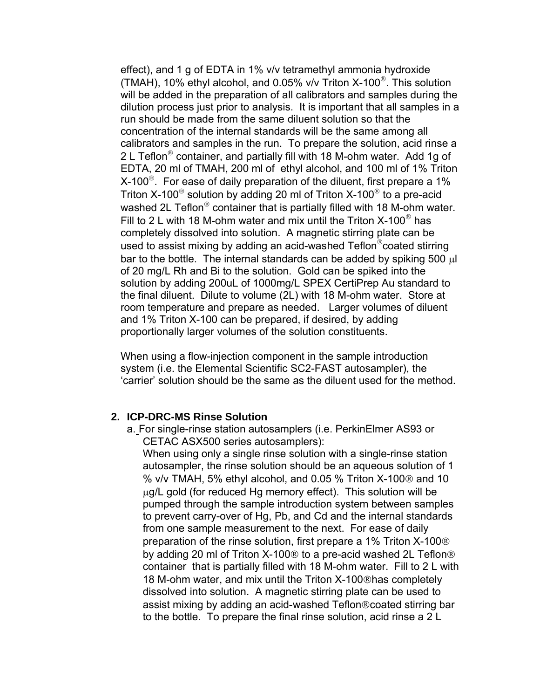effect), and 1 g of EDTA in 1% v/v tetramethyl ammonia hydroxide (TMAH), 10% ethyl alcohol, and 0.05% v/v Triton X-100 $^{\circ}$ . This solution will be added in the preparation of all calibrators and samples during the dilution process just prior to analysis. It is important that all samples in a run should be made from the same diluent solution so that the concentration of the internal standards will be the same among all calibrators and samples in the run. To prepare the solution, acid rinse a 2 L Teflon<sup>®</sup> container, and partially fill with 18 M-ohm water. Add 1g of EDTA, 20 ml of TMAH, 200 ml of ethyl alcohol, and 100 ml of 1% Triton  $X-100^\circ$ . For ease of daily preparation of the diluent, first prepare a 1% Triton X-100® solution by adding 20 ml of Triton X-100® to a pre-acid washed 2L Teflon<sup>®</sup> container that is partially filled with 18 M-ohm water. Fill to 2 L with 18 M-ohm water and mix until the Triton  $X-100^\circ$  has completely dissolved into solution. A magnetic stirring plate can be used to assist mixing by adding an acid-washed Teflon®coated stirring bar to the bottle. The internal standards can be added by spiking 500 μl of 20 mg/L Rh and Bi to the solution. Gold can be spiked into the solution by adding 200uL of 1000mg/L SPEX CertiPrep Au standard to the final diluent. Dilute to volume (2L) with 18 M-ohm water. Store at room temperature and prepare as needed. Larger volumes of diluent and 1% Triton X-100 can be prepared, if desired, by adding proportionally larger volumes of the solution constituents.

When using a flow-injection component in the sample introduction system (i.e. the Elemental Scientific SC2-FAST autosampler), the 'carrier' solution should be the same as the diluent used for the method.

### **2. ICP-DRC-MS Rinse Solution**

a. For single-rinse station autosamplers (i.e. PerkinElmer AS93 or CETAC ASX500 series autosamplers):

When using only a single rinse solution with a single-rinse station autosampler, the rinse solution should be an aqueous solution of 1 % v/v TMAH, 5% ethyl alcohol, and 0.05 % Triton X-100® and 10 μg/L gold (for reduced Hg memory effect). This solution will be pumped through the sample introduction system between samples to prevent carry-over of Hg, Pb, and Cd and the internal standards from one sample measurement to the next. For ease of daily preparation of the rinse solution, first prepare a 1% Triton X-100® by adding 20 ml of Triton X-100® to a pre-acid washed 2L Teflon® container that is partially filled with 18 M-ohm water. Fill to 2 L with 18 M-ohm water, and mix until the Triton X-100®has completely dissolved into solution. A magnetic stirring plate can be used to assist mixing by adding an acid-washed Teflon®coated stirring bar to the bottle. To prepare the final rinse solution, acid rinse a 2 L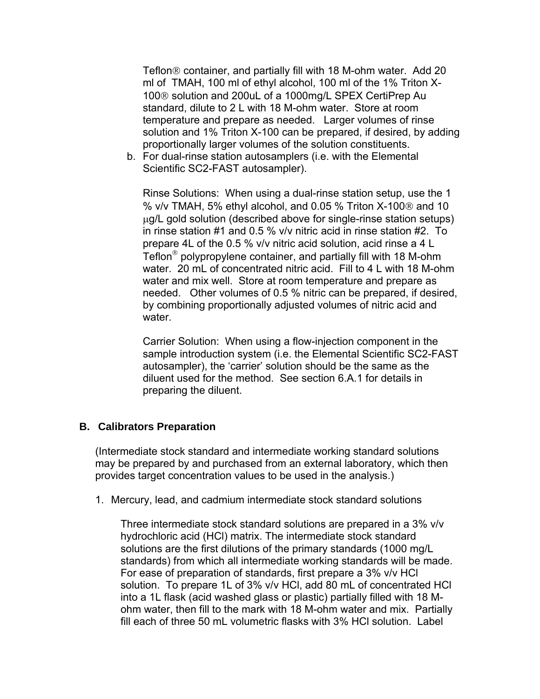Teflon® container, and partially fill with 18 M-ohm water. Add 20 ml of TMAH, 100 ml of ethyl alcohol, 100 ml of the 1% Triton X-100® solution and 200uL of a 1000mg/L SPEX CertiPrep Au standard, dilute to 2 L with 18 M-ohm water. Store at room temperature and prepare as needed. Larger volumes of rinse solution and 1% Triton X-100 can be prepared, if desired, by adding proportionally larger volumes of the solution constituents.

b. For dual-rinse station autosamplers (i.e. with the Elemental Scientific SC2-FAST autosampler).

Rinse Solutions: When using a dual-rinse station setup, use the 1 % v/v TMAH, 5% ethyl alcohol, and 0.05 % Triton X-100® and 10 μg/L gold solution (described above for single-rinse station setups) in rinse station #1 and 0.5 % v/v nitric acid in rinse station #2. To prepare 4L of the 0.5 % v/v nitric acid solution, acid rinse a 4 L Teflon® polypropylene container, and partially fill with 18 M-ohm water. 20 mL of concentrated nitric acid. Fill to 4 L with 18 M-ohm water and mix well. Store at room temperature and prepare as needed. Other volumes of 0.5 % nitric can be prepared, if desired, by combining proportionally adjusted volumes of nitric acid and water.

Carrier Solution: When using a flow-injection component in the sample introduction system (i.e. the Elemental Scientific SC2-FAST autosampler), the 'carrier' solution should be the same as the diluent used for the method. See section 6.A.1 for details in preparing the diluent.

### **B. Calibrators Preparation**

(Intermediate stock standard and intermediate working standard solutions may be prepared by and purchased from an external laboratory, which then provides target concentration values to be used in the analysis.)

1. Mercury, lead, and cadmium intermediate stock standard solutions

Three intermediate stock standard solutions are prepared in a 3% v/v hydrochloric acid (HCl) matrix. The intermediate stock standard solutions are the first dilutions of the primary standards (1000 mg/L standards) from which all intermediate working standards will be made. For ease of preparation of standards, first prepare a 3% v/v HCl solution. To prepare 1L of 3% v/v HCl, add 80 mL of concentrated HCl into a 1L flask (acid washed glass or plastic) partially filled with 18 Mohm water, then fill to the mark with 18 M-ohm water and mix. Partially fill each of three 50 mL volumetric flasks with 3% HCl solution. Label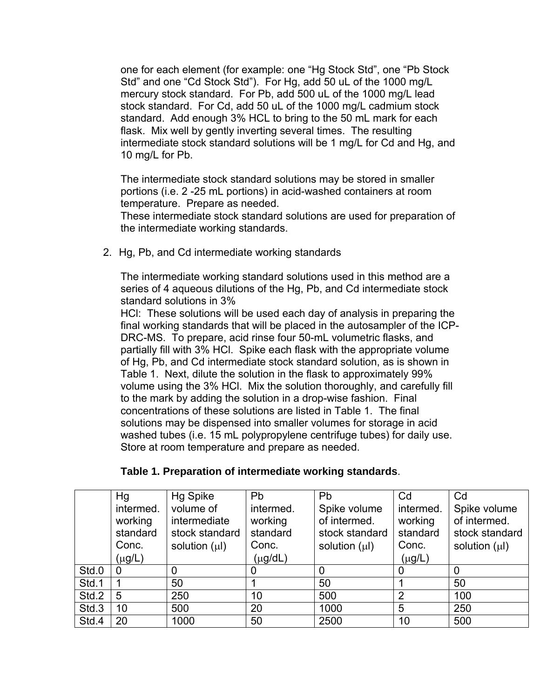one for each element (for example: one "Hg Stock Std", one "Pb Stock Std" and one "Cd Stock Std"). For Hg, add 50 uL of the 1000 mg/L mercury stock standard. For Pb, add 500 uL of the 1000 mg/L lead stock standard. For Cd, add 50 uL of the 1000 mg/L cadmium stock standard. Add enough 3% HCL to bring to the 50 mL mark for each flask. Mix well by gently inverting several times. The resulting intermediate stock standard solutions will be 1 mg/L for Cd and Hg, and 10 mg/L for Pb.

The intermediate stock standard solutions may be stored in smaller portions (i.e. 2 -25 mL portions) in acid-washed containers at room temperature. Prepare as needed.

These intermediate stock standard solutions are used for preparation of the intermediate working standards.

2. Hg, Pb, and Cd intermediate working standards

The intermediate working standard solutions used in this method are a series of 4 aqueous dilutions of the Hg, Pb, and Cd intermediate stock standard solutions in 3%

HCl: These solutions will be used each day of analysis in preparing the final working standards that will be placed in the autosampler of the ICP-DRC-MS. To prepare, acid rinse four 50-mL volumetric flasks, and partially fill with 3% HCl. Spike each flask with the appropriate volume of Hg, Pb, and Cd intermediate stock standard solution, as is shown in Table 1. Next, dilute the solution in the flask to approximately 99% volume using the 3% HCl. Mix the solution thoroughly, and carefully fill to the mark by adding the solution in a drop-wise fashion. Final concentrations of these solutions are listed in Table 1. The final solutions may be dispensed into smaller volumes for storage in acid washed tubes (i.e. 15 mL polypropylene centrifuge tubes) for daily use. Store at room temperature and prepare as needed.

| Table 1. Preparation of intermediate working standards. |  |
|---------------------------------------------------------|--|
|---------------------------------------------------------|--|

|       | Hg                                                       | <b>Hg Spike</b>                                                   | Pb                                                        | Pb                                                                   | Cd                                                       | Cd                                                                   |
|-------|----------------------------------------------------------|-------------------------------------------------------------------|-----------------------------------------------------------|----------------------------------------------------------------------|----------------------------------------------------------|----------------------------------------------------------------------|
|       | intermed.<br>working<br>standard<br>Conc.<br>$(\mu g/L)$ | volume of<br>intermediate<br>stock standard<br>solution $(\mu I)$ | intermed.<br>working<br>standard<br>Conc.<br>$(\mu g/dL)$ | Spike volume<br>of intermed.<br>stock standard<br>solution $(\mu I)$ | intermed.<br>working<br>standard<br>Conc.<br>$(\mu g/L)$ | Spike volume<br>of intermed.<br>stock standard<br>solution $(\mu I)$ |
| Std.0 | 0                                                        | 0                                                                 | O                                                         | 0                                                                    |                                                          | 0                                                                    |
| Std.1 |                                                          | 50                                                                |                                                           | 50                                                                   |                                                          | 50                                                                   |
| Std.2 | 5                                                        | 250                                                               | 10                                                        | 500                                                                  | 2                                                        | 100                                                                  |
| Std.3 | 10                                                       | 500                                                               | 20                                                        | 1000                                                                 | 5                                                        | 250                                                                  |
| Std.4 | 20                                                       | 1000                                                              | 50                                                        | 2500                                                                 | 10                                                       | 500                                                                  |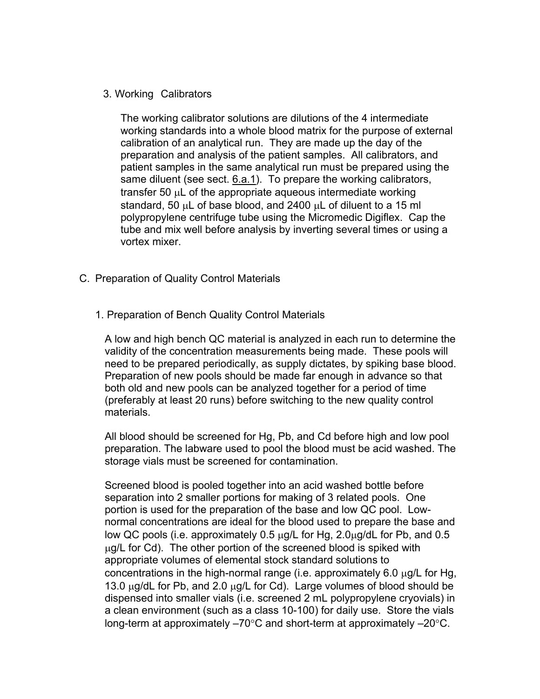#### <span id="page-12-0"></span>3. Working Calibrators

The working calibrator solutions are dilutions of the 4 intermediate working standards into a whole blood matrix for the purpose of external calibration of an analytical run. They are made up the day of the preparation and analysis of the patient samples. All calibrators, and patient samples in the same analytical run must be prepared using the same diluent (see sect. [6.a.1](#page-8-0)). To prepare the working calibrators, transfer 50 μL of the appropriate aqueous intermediate working standard, 50 μL of base blood, and 2400 μL of diluent to a 15 ml polypropylene centrifuge tube using the Micromedic Digiflex. Cap the tube and mix well before analysis by inverting several times or using a vortex mixer.

- C. Preparation of Quality Control Materials
	- 1. Preparation of Bench Quality Control Materials

A low and high bench QC material is analyzed in each run to determine the validity of the concentration measurements being made. These pools will need to be prepared periodically, as supply dictates, by spiking base blood. Preparation of new pools should be made far enough in advance so that both old and new pools can be analyzed together for a period of time (preferably at least 20 runs) before switching to the new quality control materials.

All blood should be screened for Hg, Pb, and Cd before high and low pool preparation. The labware used to pool the blood must be acid washed. The storage vials must be screened for contamination.

Screened blood is pooled together into an acid washed bottle before separation into 2 smaller portions for making of 3 related pools. One portion is used for the preparation of the base and low QC pool. Lownormal concentrations are ideal for the blood used to prepare the base and low QC pools (i.e. approximately 0.5 μg/L for Hg, 2.0μg/dL for Pb, and 0.5  $\mu$ g/L for Cd). The other portion of the screened blood is spiked with appropriate volumes of elemental stock standard solutions to concentrations in the high-normal range (i.e. approximately 6.0 μg/L for Hg, 13.0  $\mu$ g/dL for Pb, and 2.0  $\mu$ g/L for Cd). Large volumes of blood should be dispensed into smaller vials (i.e. screened 2 mL polypropylene cryovials) in a clean environment (such as a class 10-100) for daily use. Store the vials long-term at approximately –70°C and short-term at approximately –20°C.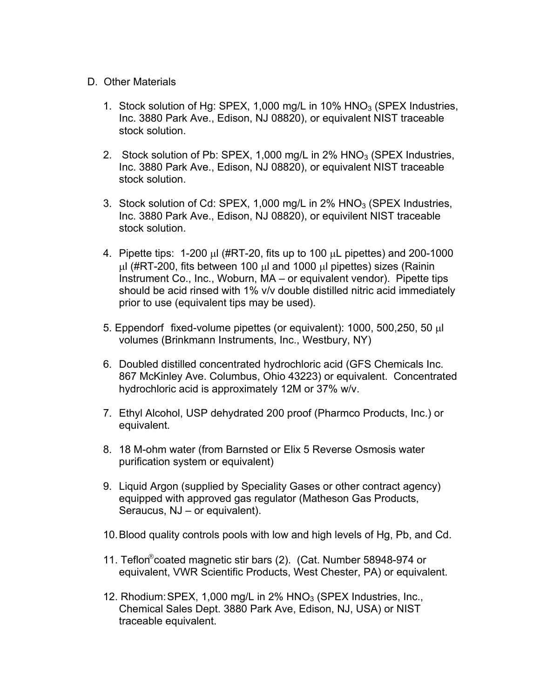#### D. Other Materials

- 1. Stock solution of Hg: SPEX, 1,000 mg/L in 10%  $HNO<sub>3</sub>$  (SPEX Industries, Inc. 3880 Park Ave., Edison, NJ 08820), or equivalent NIST traceable stock solution.
- 2. Stock solution of Pb: SPEX, 1,000 mg/L in  $2\%$  HNO<sub>3</sub> (SPEX Industries, Inc. 3880 Park Ave., Edison, NJ 08820), or equivalent NIST traceable stock solution.
- 3. Stock solution of Cd: SPEX, 1,000 mg/L in 2% HNO<sub>3</sub> (SPEX Industries, Inc. 3880 Park Ave., Edison, NJ 08820), or equivilent NIST traceable stock solution.
- 4. Pipette tips: 1-200 μl (#RT-20, fits up to 100 μL pipettes) and 200-1000 μl (#RT-200, fits between 100 μl and 1000 μl pipettes) sizes (Rainin Instrument Co., Inc., Woburn, MA – or equivalent vendor). Pipette tips should be acid rinsed with 1% v/v double distilled nitric acid immediately prior to use (equivalent tips may be used).
- 5. Eppendorf fixed-volume pipettes (or equivalent): 1000, 500,250, 50 μl volumes (Brinkmann Instruments, Inc., Westbury, NY)
- 6. Doubled distilled concentrated hydrochloric acid (GFS Chemicals Inc. 867 McKinley Ave. Columbus, Ohio 43223) or equivalent. Concentrated hydrochloric acid is approximately 12M or 37% w/v.
- 7. Ethyl Alcohol, USP dehydrated 200 proof (Pharmco Products, Inc.) or equivalent.
- 8. 18 M-ohm water (from Barnsted or Elix 5 Reverse Osmosis water purification system or equivalent)
- 9. Liquid Argon (supplied by Speciality Gases or other contract agency) equipped with approved gas regulator (Matheson Gas Products, Seraucus, NJ – or equivalent).
- 10. Blood quality controls pools with low and high levels of Hg, Pb, and Cd.
- 11. Teflon®coated magnetic stir bars (2). (Cat. Number 58948-974 or equivalent, VWR Scientific Products, West Chester, PA) or equivalent.
- 12. Rhodium: SPEX, 1,000 mg/L in 2% HNO<sub>3</sub> (SPEX Industries, Inc., Chemical Sales Dept. 3880 Park Ave, Edison, NJ, USA) or NIST traceable equivalent.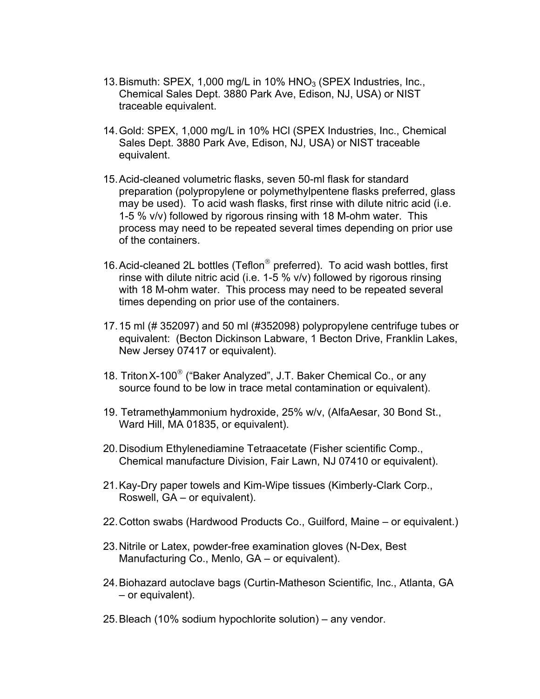- 13. Bismuth: SPEX, 1,000 mg/L in 10%  $HNO<sub>3</sub>$  (SPEX Industries, Inc., Chemical Sales Dept. 3880 Park Ave, Edison, NJ, USA) or NIST traceable equivalent.
- 14. Gold: SPEX, 1,000 mg/L in 10% HCl (SPEX Industries, Inc., Chemical Sales Dept. 3880 Park Ave, Edison, NJ, USA) or NIST traceable equivalent.
- 15. Acid-cleaned volumetric flasks, seven 50-ml flask for standard preparation (polypropylene or polymethylpentene flasks preferred, glass may be used). To acid wash flasks, first rinse with dilute nitric acid (i.e. 1-5 % v/v) followed by rigorous rinsing with 18 M-ohm water. This process may need to be repeated several times depending on prior use of the containers.
- 16. Acid-cleaned 2L bottles (Teflon<sup>®</sup> preferred). To acid wash bottles, first rinse with dilute nitric acid (i.e. 1-5 % v/v) followed by rigorous rinsing with 18 M-ohm water. This process may need to be repeated several times depending on prior use of the containers.
- 17. 15 ml (# 352097) and 50 ml (#352098) polypropylene centrifuge tubes or equivalent: (Becton Dickinson Labware, 1 Becton Drive, Franklin Lakes, New Jersey 07417 or equivalent).
- 18. Triton X-100<sup>®</sup> ("Baker Analyzed", J.T. Baker Chemical Co., or any source found to be low in trace metal contamination or equivalent).
- 19. Tetramethylammonium hydroxide, 25% w/v, (AlfaAesar, 30 Bond St., Ward Hill, MA 01835, or equivalent).
- 20. Disodium Ethylenediamine Tetraacetate (Fisher scientific Comp., Chemical manufacture Division, Fair Lawn, NJ 07410 or equivalent).
- 21. Kay-Dry paper towels and Kim-Wipe tissues (Kimberly-Clark Corp., Roswell, GA – or equivalent).
- 22. Cotton swabs (Hardwood Products Co., Guilford, Maine or equivalent.)
- 23. Nitrile or Latex, powder-free examination gloves (N-Dex, Best Manufacturing Co., Menlo, GA – or equivalent).
- 24. Biohazard autoclave bags (Curtin-Matheson Scientific, Inc., Atlanta, GA – or equivalent).
- 25. Bleach (10% sodium hypochlorite solution) any vendor.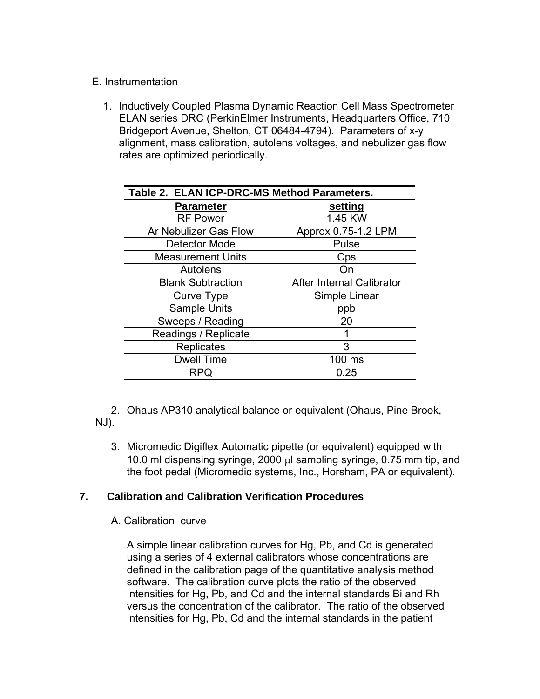### E. Instrumentation

1. Inductively Coupled Plasma Dynamic Reaction Cell Mass Spectrometer ELAN series DRC (PerkinElmer Instruments, Headquarters Office, 710 Bridgeport Avenue, Shelton, CT 06484-4794). Parameters of x-y alignment, mass calibration, autolens voltages, and nebulizer gas flow rates are optimized periodically.

| Table 2. ELAN ICP-DRC-MS Method Parameters. |                           |  |  |  |
|---------------------------------------------|---------------------------|--|--|--|
| <b>Parameter</b>                            | setting                   |  |  |  |
| <b>RF Power</b>                             | 1.45 KW                   |  |  |  |
| Ar Nebulizer Gas Flow                       | Approx 0.75-1.2 LPM       |  |  |  |
| Detector Mode                               | Pulse                     |  |  |  |
| <b>Measurement Units</b>                    | Cps                       |  |  |  |
| Autolens                                    | ()n                       |  |  |  |
| <b>Blank Subtraction</b>                    | After Internal Calibrator |  |  |  |
| Curve Type                                  | Simple Linear             |  |  |  |
| <b>Sample Units</b>                         | ppb                       |  |  |  |
| Sweeps / Reading                            | 20                        |  |  |  |
| Readings / Replicate                        |                           |  |  |  |
| <b>Replicates</b>                           | 3                         |  |  |  |
| <b>Dwell Time</b>                           | 100 ms                    |  |  |  |
| RPQ                                         | 0.25                      |  |  |  |

2. Ohaus AP310 analytical balance or equivalent (Ohaus, Pine Brook, NJ).

3. Micromedic Digiflex Automatic pipette (or equivalent) equipped with 10.0 ml dispensing syringe, 2000 μl sampling syringe, 0.75 mm tip, and the foot pedal (Micromedic systems, Inc., Horsham, PA or equivalent).

### **7. Calibration and Calibration Verification Procedures**

A. Calibration curve

A simple linear calibration curves for Hg, Pb, and Cd is generated using a series of 4 external calibrators whose concentrations are defined in the calibration page of the quantitative analysis method software. The calibration curve plots the ratio of the observed intensities for Hg, Pb, and Cd and the internal standards Bi and Rh versus the concentration of the calibrator. The ratio of the observed intensities for Hg, Pb, Cd and the internal standards in the patient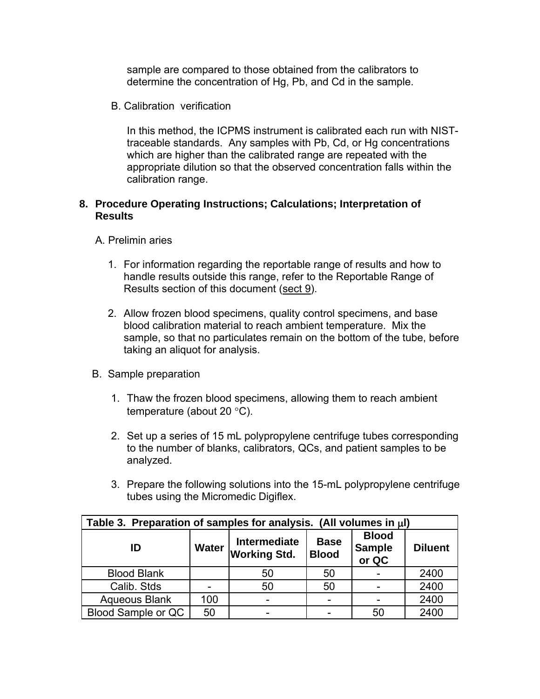sample are compared to those obtained from the calibrators to determine the concentration of Hg, Pb, and Cd in the sample.

B. Calibration verification

In this method, the ICPMS instrument is calibrated each run with NISTtraceable standards. Any samples with Pb, Cd, or Hg concentrations which are higher than the calibrated range are repeated with the appropriate dilution so that the observed concentration falls within the calibration range.

### **8. Procedure Operating Instructions; Calculations; Interpretation of Results**

- A. Prelimin aries
	- 1. For information regarding the reportable range of results and how to handle results outside this range, refer to the Reportable Range of Results section of this document ([sect 9\)](#page-30-0).
	- 2. Allow frozen blood specimens, quality control specimens, and base blood calibration material to reach ambient temperature. Mix the sample, so that no particulates remain on the bottom of the tube, before taking an aliquot for analysis.
- B. Sample preparation
	- 1. Thaw the frozen blood specimens, allowing them to reach ambient temperature (about 20 °C).
	- 2. Set up a series of 15 mL polypropylene centrifuge tubes corresponding to the number of blanks, calibrators, QCs, and patient samples to be analyzed.
	- 3. Prepare the following solutions into the 15-mL polypropylene centrifuge tubes using the Micromedic Digiflex.

| Table 3. Preparation of samples for analysis. (All volumes in $\mu$ I)                                                                                      |     |    |    |    |      |  |  |
|-------------------------------------------------------------------------------------------------------------------------------------------------------------|-----|----|----|----|------|--|--|
| <b>Blood</b><br><b>Intermediate</b><br><b>Base</b><br><b>Sample</b><br><b>Water</b><br>ID<br><b>Diluent</b><br><b>Working Std.</b><br><b>Blood</b><br>or QC |     |    |    |    |      |  |  |
| <b>Blood Blank</b>                                                                                                                                          |     | 50 | 50 |    | 2400 |  |  |
| Calib. Stds                                                                                                                                                 |     | 50 | 50 |    | 2400 |  |  |
| <b>Aqueous Blank</b>                                                                                                                                        | 100 |    |    |    | 2400 |  |  |
| Blood Sample or QC                                                                                                                                          | 50  |    |    | 50 | 2400 |  |  |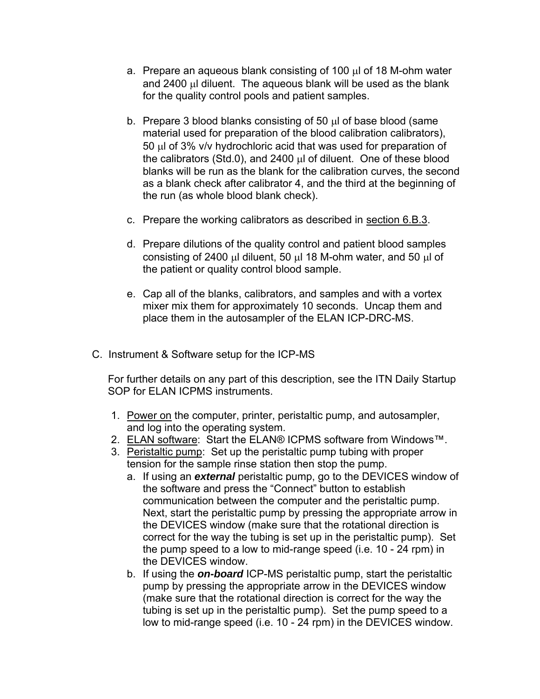- a. Prepare an aqueous blank consisting of 100 μl of 18 M-ohm water and 2400 μl diluent. The aqueous blank will be used as the blank for the quality control pools and patient samples.
- b. Prepare 3 blood blanks consisting of 50 μl of base blood (same material used for preparation of the blood calibration calibrators), 50 μl of 3% v/v hydrochloric acid that was used for preparation of the calibrators (Std.0), and 2400 μl of diluent. One of these blood blanks will be run as the blank for the calibration curves, the second as a blank check after calibrator 4, and the third at the beginning of the run (as whole blood blank check).
- c. Prepare the working calibrators as described in [section 6.B.3.](#page-12-0)
- d. Prepare dilutions of the quality control and patient blood samples consisting of 2400 μl diluent, 50 μl 18 M-ohm water, and 50 μl of the patient or quality control blood sample.
- e. Cap all of the blanks, calibrators, and samples and with a vortex mixer mix them for approximately 10 seconds. Uncap them and place them in the autosampler of the ELAN ICP-DRC-MS.
- C. Instrument & Software setup for the ICP-MS

For further details on any part of this description, see the ITN Daily Startup SOP for ELAN ICPMS instruments.

- 1. Power on the computer, printer, peristaltic pump, and autosampler, and log into the operating system.
- 2. ELAN software: Start the ELAN® ICPMS software from Windows™.
- 3. Peristaltic pump: Set up the peristaltic pump tubing with proper tension for the sample rinse station then stop the pump.
	- a. If using an *external* peristaltic pump, go to the DEVICES window of the software and press the "Connect" button to establish communication between the computer and the peristaltic pump. Next, start the peristaltic pump by pressing the appropriate arrow in the DEVICES window (make sure that the rotational direction is correct for the way the tubing is set up in the peristaltic pump). Set the pump speed to a low to mid-range speed (i.e. 10 - 24 rpm) in the DEVICES window.
	- b. If using the *on-board* ICP-MS peristaltic pump, start the peristaltic pump by pressing the appropriate arrow in the DEVICES window (make sure that the rotational direction is correct for the way the tubing is set up in the peristaltic pump). Set the pump speed to a low to mid-range speed (i.e. 10 - 24 rpm) in the DEVICES window.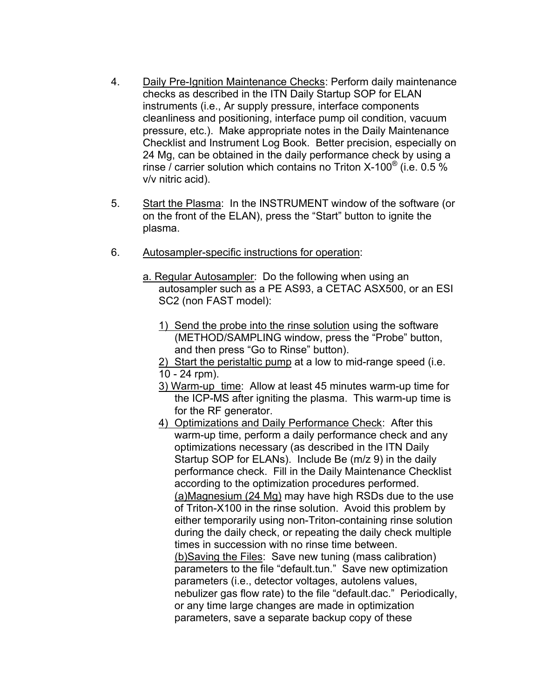- 4. Daily Pre-Ignition Maintenance Checks: Perform daily maintenance checks as described in the ITN Daily Startup SOP for ELAN instruments (i.e., Ar supply pressure, interface components cleanliness and positioning, interface pump oil condition, vacuum pressure, etc.). Make appropriate notes in the Daily Maintenance Checklist and Instrument Log Book. Better precision, especially on 24 Mg, can be obtained in the daily performance check by using a rinse / carrier solution which contains no Triton X-100® (i.e. 0.5 % v/v nitric acid).
- 5. Start the Plasma: In the INSTRUMENT window of the software (or on the front of the ELAN), press the "Start" button to ignite the plasma.
- 6. Autosampler-specific instructions for operation:
	- a. Regular Autosampler: Do the following when using an autosampler such as a PE AS93, a CETAC ASX500, or an ESI SC2 (non FAST model):
		- 1) Send the probe into the rinse solution using the software (METHOD/SAMPLING window, press the "Probe" button, and then press "Go to Rinse" button).

2) Start the peristaltic pump at a low to mid-range speed (i.e. 10 - 24 rpm).

- 3) Warm-up time: Allow at least 45 minutes warm-up time for the ICP-MS after igniting the plasma. This warm-up time is for the RF generator.
- 4) Optimizations and Daily Performance Check: After this warm-up time, perform a daily performance check and any optimizations necessary (as described in the ITN Daily Startup SOP for ELANs). Include Be (m/z 9) in the daily performance check. Fill in the Daily Maintenance Checklist according to the optimization procedures performed. (a)Magnesium (24 Mg) may have high RSDs due to the use of Triton-X100 in the rinse solution. Avoid this problem by either temporarily using non-Triton-containing rinse solution during the daily check, or repeating the daily check multiple times in succession with no rinse time between. (b)Saving the Files: Save new tuning (mass calibration) parameters to the file "default.tun." Save new optimization parameters (i.e., detector voltages, autolens values, nebulizer gas flow rate) to the file "default.dac." Periodically, or any time large changes are made in optimization parameters, save a separate backup copy of these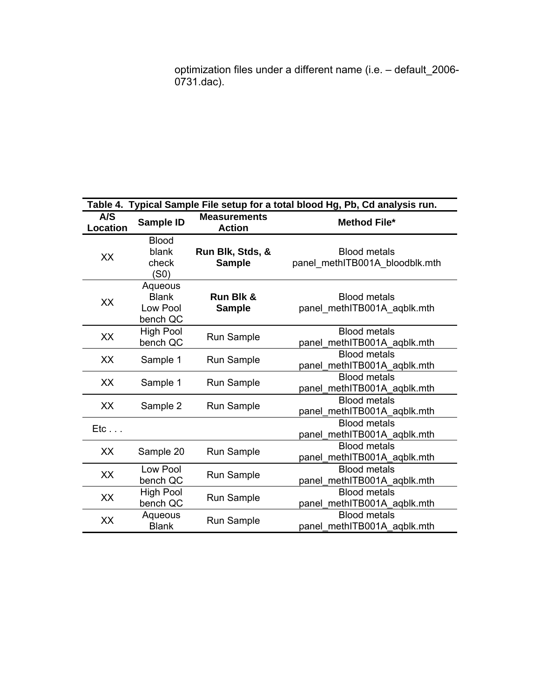optimization files under a different name (i.e. – default\_2006- 0731.dac).

|                        | Table 4. Typical Sample File setup for a total blood Hg, Pb, Cd analysis run. |                                      |                                                       |  |  |  |  |
|------------------------|-------------------------------------------------------------------------------|--------------------------------------|-------------------------------------------------------|--|--|--|--|
| A/S<br><b>Location</b> | Sample ID                                                                     | <b>Measurements</b><br><b>Action</b> | <b>Method File*</b>                                   |  |  |  |  |
| XX                     | <b>Blood</b><br>blank<br>check<br>(S0)                                        | Run Blk, Stds, &<br><b>Sample</b>    | <b>Blood metals</b><br>panel_methITB001A_bloodblk.mth |  |  |  |  |
| XX                     | Aqueous<br><b>Blank</b><br>Low Pool<br>bench QC                               | Run Blk &<br><b>Sample</b>           | <b>Blood metals</b><br>panel methITB001A aqblk.mth    |  |  |  |  |
| XX                     | High Pool<br>bench QC                                                         | <b>Run Sample</b>                    | <b>Blood metals</b><br>panel methITB001A aqblk.mth    |  |  |  |  |
| XX                     | Sample 1                                                                      | Run Sample                           | <b>Blood metals</b><br>panel_methITB001A_aqblk.mth    |  |  |  |  |
| XX                     | Sample 1                                                                      | Run Sample                           | <b>Blood metals</b><br>panel methITB001A aqblk.mth    |  |  |  |  |
| XX                     | Sample 2                                                                      | <b>Run Sample</b>                    | <b>Blood metals</b><br>panel_methITB001A_aqblk.mth    |  |  |  |  |
| Etc                    |                                                                               |                                      | <b>Blood metals</b><br>panel_methITB001A_aqblk.mth    |  |  |  |  |
| XX                     | Sample 20                                                                     | Run Sample                           | <b>Blood metals</b><br>panel_methITB001A_aqblk.mth    |  |  |  |  |
| XX                     | Low Pool<br>bench QC                                                          | Run Sample                           | <b>Blood metals</b><br>panel_methITB001A_aqblk.mth    |  |  |  |  |
| XX                     | <b>High Pool</b><br>bench QC                                                  | Run Sample                           | <b>Blood metals</b><br>panel_methITB001A_aqblk.mth    |  |  |  |  |
| XX                     | Aqueous<br><b>Blank</b>                                                       | <b>Run Sample</b>                    | <b>Blood metals</b><br>panel_methITB001A_aqblk.mth    |  |  |  |  |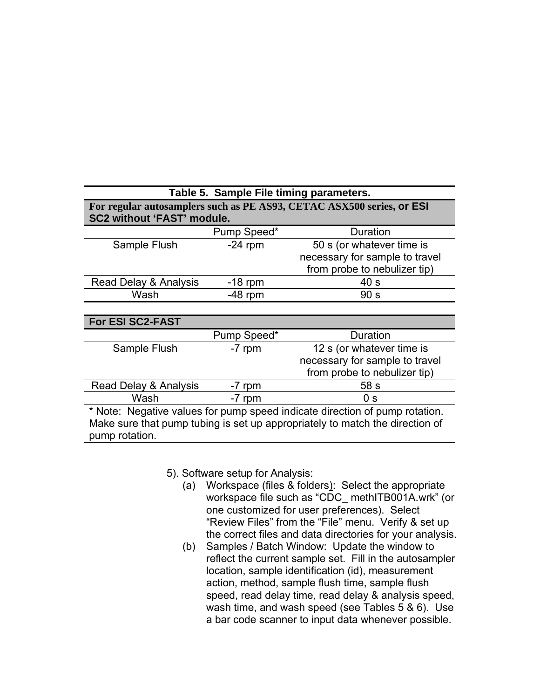| Table 5. Sample File timing parameters.                                                                    |             |                                                                              |  |  |  |  |
|------------------------------------------------------------------------------------------------------------|-------------|------------------------------------------------------------------------------|--|--|--|--|
| For regular autosamplers such as PE AS93, CETAC ASX500 series, or ESI<br><b>SC2 without 'FAST' module.</b> |             |                                                                              |  |  |  |  |
|                                                                                                            | Pump Speed* | Duration                                                                     |  |  |  |  |
| Sample Flush                                                                                               | $-24$ rpm   | 50 s (or whatever time is                                                    |  |  |  |  |
|                                                                                                            |             | necessary for sample to travel                                               |  |  |  |  |
|                                                                                                            |             | from probe to nebulizer tip)                                                 |  |  |  |  |
| Read Delay & Analysis                                                                                      | $-18$ rpm   | 40 <sub>s</sub>                                                              |  |  |  |  |
| Wash                                                                                                       | $-48$ rpm   | 90 <sub>s</sub>                                                              |  |  |  |  |
|                                                                                                            |             |                                                                              |  |  |  |  |
| <b>For ESI SC2-FAST</b>                                                                                    |             |                                                                              |  |  |  |  |
|                                                                                                            | Pump Speed* | Duration                                                                     |  |  |  |  |
| Sample Flush                                                                                               | -7 rpm      | 12 s (or whatever time is                                                    |  |  |  |  |
|                                                                                                            |             | necessary for sample to travel                                               |  |  |  |  |
|                                                                                                            |             | from probe to nebulizer tip)                                                 |  |  |  |  |
| Read Delay & Analysis                                                                                      | -7 rpm      | 58 s                                                                         |  |  |  |  |
| Wash                                                                                                       | -7 rpm      | 0 <sub>s</sub>                                                               |  |  |  |  |
|                                                                                                            |             | * Note: Negative values for pump speed indicate direction of pump rotation.  |  |  |  |  |
|                                                                                                            |             | Make sure that pump tubing is set up appropriately to match the direction of |  |  |  |  |
| pump rotation.                                                                                             |             |                                                                              |  |  |  |  |

5). Software setup for Analysis:

- (a) Workspace (files & folders): Select the appropriate workspace file such as "CDC\_ methITB001A.wrk" (or one customized for user preferences). Select "Review Files" from the "File" menu. Verify & set up the correct files and data directories for your analysis.
- (b) Samples / Batch Window: Update the window to reflect the current sample set. Fill in the autosampler location, sample identification (id), measurement action, method, sample flush time, sample flush speed, read delay time, read delay & analysis speed, wash time, and wash speed (see Tables 5 & 6). Use a bar code scanner to input data whenever possible.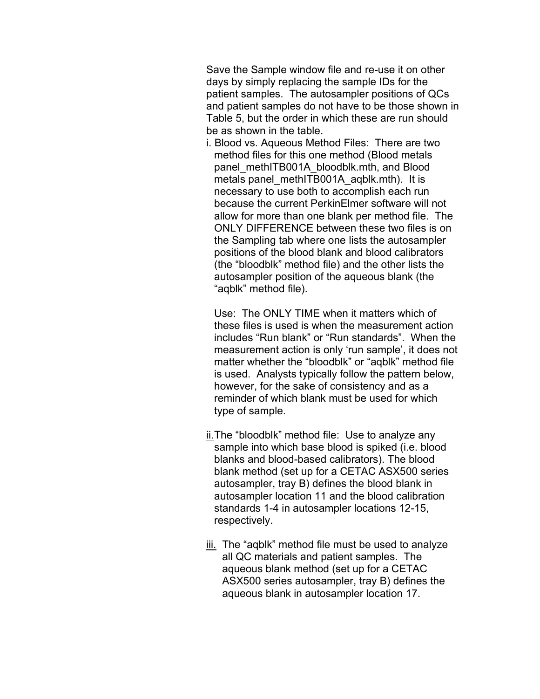Save the Sample window file and re-use it on other days by simply replacing the sample IDs for the patient samples. The autosampler positions of QCs and patient samples do not have to be those shown in Table 5, but the order in which these are run should be as shown in the table.

i. Blood vs. Aqueous Method Files: There are two method files for this one method (Blood metals panel\_methITB001A\_bloodblk.mth, and Blood metals panel\_methITB001A\_aqblk.mth). It is necessary to use both to accomplish each run because the current PerkinElmer software will not allow for more than one blank per method file. The ONLY DIFFERENCE between these two files is on the Sampling tab where one lists the autosampler positions of the blood blank and blood calibrators (the "bloodblk" method file) and the other lists the autosampler position of the aqueous blank (the "aqblk" method file).

Use: The ONLY TIME when it matters which of these files is used is when the measurement action includes "Run blank" or "Run standards". When the measurement action is only 'run sample', it does not matter whether the "bloodblk" or "aqblk" method file is used. Analysts typically follow the pattern below, however, for the sake of consistency and as a reminder of which blank must be used for which type of sample.

- ii. The "bloodblk" method file: Use to analyze any sample into which base blood is spiked (i.e. blood blanks and blood-based calibrators). The blood blank method (set up for a CETAC ASX500 series autosampler, tray B) defines the blood blank in autosampler location 11 and the blood calibration standards 1-4 in autosampler locations 12-15, respectively.
- iii. The "aqblk" method file must be used to analyze all QC materials and patient samples. The aqueous blank method (set up for a CETAC ASX500 series autosampler, tray B) defines the aqueous blank in autosampler location 17.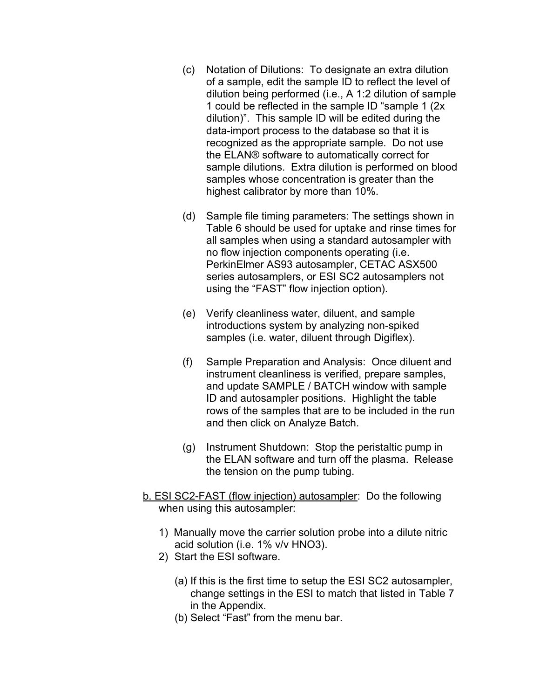- (c) Notation of Dilutions: To designate an extra dilution of a sample, edit the sample ID to reflect the level of dilution being performed (i.e., A 1:2 dilution of sample 1 could be reflected in the sample ID "sample 1 (2x dilution)". This sample ID will be edited during the data-import process to the database so that it is recognized as the appropriate sample. Do not use the ELAN® software to automatically correct for sample dilutions. Extra dilution is performed on blood samples whose concentration is greater than the highest calibrator by more than 10%.
- (d) Sample file timing parameters: The settings shown in Table 6 should be used for uptake and rinse times for all samples when using a standard autosampler with no flow injection components operating (i.e. PerkinElmer AS93 autosampler, CETAC ASX500 series autosamplers, or ESI SC2 autosamplers not using the "FAST" flow injection option).
- (e) Verify cleanliness water, diluent, and sample introductions system by analyzing non-spiked samples (i.e. water, diluent through Digiflex).
- (f) Sample Preparation and Analysis: Once diluent and instrument cleanliness is verified, prepare samples, and update SAMPLE / BATCH window with sample ID and autosampler positions. Highlight the table rows of the samples that are to be included in the run and then click on Analyze Batch.
- (g) Instrument Shutdown: Stop the peristaltic pump in the ELAN software and turn off the plasma. Release the tension on the pump tubing.
- b. ESI SC2-FAST (flow injection) autosampler: Do the following when using this autosampler:
	- 1) Manually move the carrier solution probe into a dilute nitric acid solution (i.e. 1% v/v HNO3).
	- 2) Start the ESI software.
		- (a) If this is the first time to setup the ESI SC2 autosampler, change settings in the ESI to match that listed in Table 7 in the Appendix.
		- (b) Select "Fast" from the menu bar.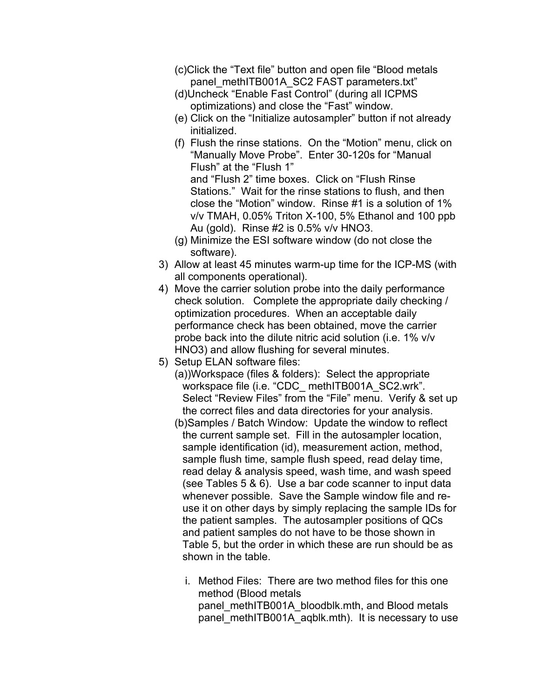- (c)Click the "Text file" button and open file "Blood metals panel\_methITB001A\_SC2 FAST parameters.txt"
- (d)Uncheck "Enable Fast Control" (during all ICPMS optimizations) and close the "Fast" window.
- (e) Click on the "Initialize autosampler" button if not already initialized.
- (f) Flush the rinse stations. On the "Motion" menu, click on "Manually Move Probe". Enter 30-120s for "Manual Flush" at the "Flush 1" and "Flush 2" time boxes. Click on "Flush Rinse Stations." Wait for the rinse stations to flush, and then close the "Motion" window. Rinse #1 is a solution of 1% v/v TMAH, 0.05% Triton X-100, 5% Ethanol and 100 ppb Au (gold). Rinse #2 is 0.5% v/v HNO3.
- (g) Minimize the ESI software window (do not close the software).
- 3) Allow at least 45 minutes warm-up time for the ICP-MS (with all components operational).
- 4) Move the carrier solution probe into the daily performance check solution. Complete the appropriate daily checking / optimization procedures. When an acceptable daily performance check has been obtained, move the carrier probe back into the dilute nitric acid solution (i.e. 1% v/v HNO3) and allow flushing for several minutes.
- 5) Setup ELAN software files:
	- (a))Workspace (files & folders): Select the appropriate workspace file (i.e. "CDC methITB001A SC2.wrk". Select "Review Files" from the "File" menu. Verify & set up the correct files and data directories for your analysis.
	- (b)Samples / Batch Window: Update the window to reflect the current sample set. Fill in the autosampler location, sample identification (id), measurement action, method, sample flush time, sample flush speed, read delay time, read delay & analysis speed, wash time, and wash speed (see Tables 5 & 6). Use a bar code scanner to input data whenever possible. Save the Sample window file and reuse it on other days by simply replacing the sample IDs for the patient samples. The autosampler positions of QCs and patient samples do not have to be those shown in Table 5, but the order in which these are run should be as shown in the table.
		- i. Method Files: There are two method files for this one method (Blood metals panel\_methITB001A\_bloodblk.mth, and Blood metals panel\_methITB001A\_aqblk.mth). It is necessary to use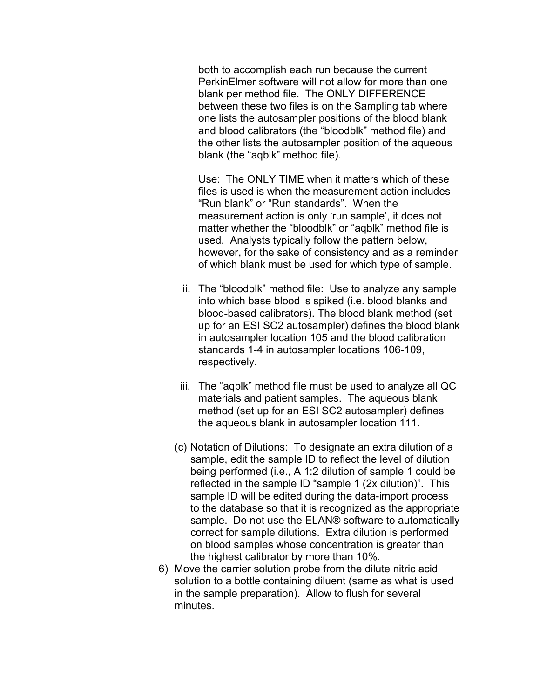both to accomplish each run because the current PerkinElmer software will not allow for more than one blank per method file. The ONLY DIFFERENCE between these two files is on the Sampling tab where one lists the autosampler positions of the blood blank and blood calibrators (the "bloodblk" method file) and the other lists the autosampler position of the aqueous blank (the "aqblk" method file).

Use: The ONLY TIME when it matters which of these files is used is when the measurement action includes "Run blank" or "Run standards". When the measurement action is only 'run sample', it does not matter whether the "bloodblk" or "aqblk" method file is used. Analysts typically follow the pattern below, however, for the sake of consistency and as a reminder of which blank must be used for which type of sample.

- ii. The "bloodblk" method file: Use to analyze any sample into which base blood is spiked (i.e. blood blanks and blood-based calibrators). The blood blank method (set up for an ESI SC2 autosampler) defines the blood blank in autosampler location 105 and the blood calibration standards 1-4 in autosampler locations 106-109, respectively.
- iii. The "aqblk" method file must be used to analyze all QC materials and patient samples. The aqueous blank method (set up for an ESI SC2 autosampler) defines the aqueous blank in autosampler location 111.
- (c) Notation of Dilutions: To designate an extra dilution of a sample, edit the sample ID to reflect the level of dilution being performed (i.e., A 1:2 dilution of sample 1 could be reflected in the sample ID "sample 1 (2x dilution)". This sample ID will be edited during the data-import process to the database so that it is recognized as the appropriate sample. Do not use the ELAN® software to automatically correct for sample dilutions. Extra dilution is performed on blood samples whose concentration is greater than the highest calibrator by more than 10%.
- 6) Move the carrier solution probe from the dilute nitric acid solution to a bottle containing diluent (same as what is used in the sample preparation). Allow to flush for several minutes.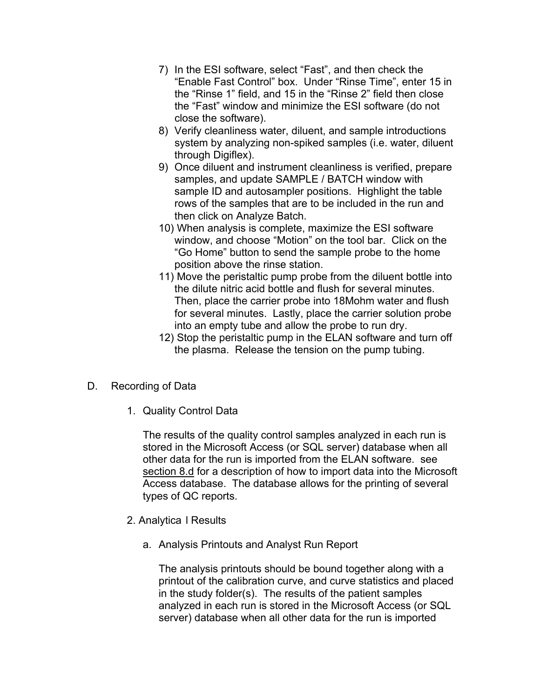- 7) In the ESI software, select "Fast", and then check the "Enable Fast Control" box. Under "Rinse Time", enter 15 in the "Rinse 1" field, and 15 in the "Rinse 2" field then close the "Fast" window and minimize the ESI software (do not close the software).
- 8) Verify cleanliness water, diluent, and sample introductions system by analyzing non-spiked samples (i.e. water, diluent through Digiflex).
- 9) Once diluent and instrument cleanliness is verified, prepare samples, and update SAMPLE / BATCH window with sample ID and autosampler positions. Highlight the table rows of the samples that are to be included in the run and then click on Analyze Batch.
- 10) When analysis is complete, maximize the ESI software window, and choose "Motion" on the tool bar. Click on the "Go Home" button to send the sample probe to the home position above the rinse station.
- 11) Move the peristaltic pump probe from the diluent bottle into the dilute nitric acid bottle and flush for several minutes. Then, place the carrier probe into 18Mohm water and flush for several minutes. Lastly, place the carrier solution probe into an empty tube and allow the probe to run dry.
- 12) Stop the peristaltic pump in the ELAN software and turn off the plasma. Release the tension on the pump tubing.
- D. Recording of Data
	- 1. Quality Control Data

The results of the quality control samples analyzed in each run is stored in the Microsoft Access (or SQL server) database when all other data for the run is imported from the ELAN software. see [section 8.d](#page-26-0) for a description of how to import data into the Microsoft Access database. The database allows for the printing of several types of QC reports.

- 2. Analytica l Results
	- a. Analysis Printouts and Analyst Run Report

The analysis printouts should be bound together along with a printout of the calibration curve, and curve statistics and placed in the study folder(s). The results of the patient samples analyzed in each run is stored in the Microsoft Access (or SQL server) database when all other data for the run is imported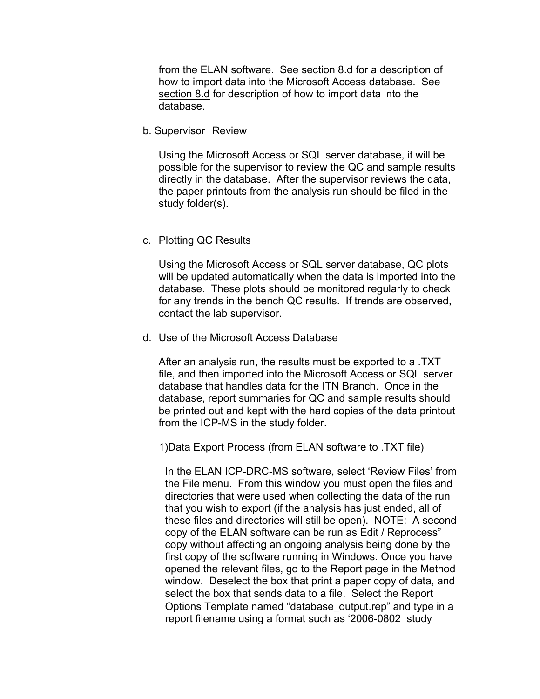<span id="page-26-0"></span>from the ELAN software. See [section 8.d](#page-26-0) for a description of how to import data into the Microsoft Access database. See [section 8.d](#page-26-0) for description of how to import data into the database.

b. Supervisor Review

Using the Microsoft Access or SQL server database, it will be possible for the supervisor to review the QC and sample results directly in the database. After the supervisor reviews the data, the paper printouts from the analysis run should be filed in the study folder(s).

#### c. Plotting QC Results

Using the Microsoft Access or SQL server database, QC plots will be updated automatically when the data is imported into the database. These plots should be monitored regularly to check for any trends in the bench QC results. If trends are observed, contact the lab supervisor.

d. Use of the Microsoft Access Database

After an analysis run, the results must be exported to a .TXT file, and then imported into the Microsoft Access or SQL server database that handles data for the ITN Branch. Once in the database, report summaries for QC and sample results should be printed out and kept with the hard copies of the data printout from the ICP-MS in the study folder.

1)Data Export Process (from ELAN software to .TXT file)

In the ELAN ICP-DRC-MS software, select 'Review Files' from the File menu. From this window you must open the files and directories that were used when collecting the data of the run that you wish to export (if the analysis has just ended, all of these files and directories will still be open). NOTE: A second copy of the ELAN software can be run as Edit / Reprocess" copy without affecting an ongoing analysis being done by the first copy of the software running in Windows. Once you have opened the relevant files, go to the Report page in the Method window. Deselect the box that print a paper copy of data, and select the box that sends data to a file. Select the Report Options Template named "database\_output.rep" and type in a report filename using a format such as '2006-0802\_study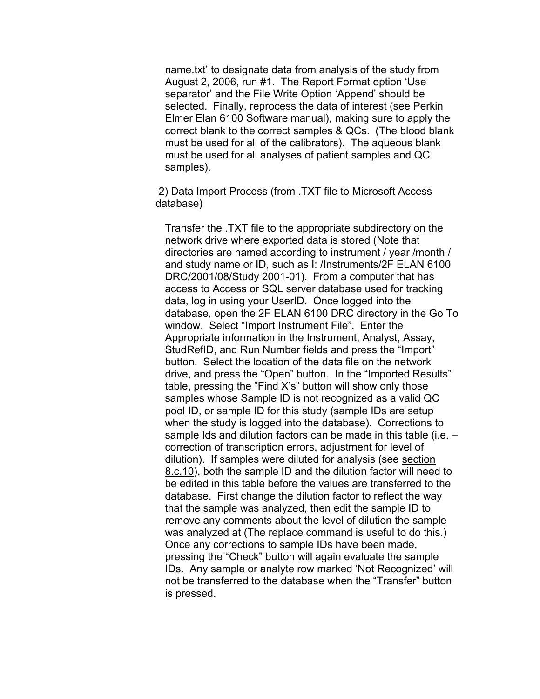name.txt' to designate data from analysis of the study from August 2, 2006, run #1. The Report Format option 'Use separator' and the File Write Option 'Append' should be selected. Finally, reprocess the data of interest (see Perkin Elmer Elan 6100 Software manual), making sure to apply the correct blank to the correct samples & QCs. (The blood blank must be used for all of the calibrators). The aqueous blank must be used for all analyses of patient samples and QC samples).

2) Data Import Process (from .TXT file to Microsoft Access database)

Transfer the .TXT file to the appropriate subdirectory on the network drive where exported data is stored (Note that directories are named according to instrument / year /month / and study name or ID, such as I: /Instruments/2F ELAN 6100 DRC/2001/08/Study 2001-01). From a computer that has access to Access or SQL server database used for tracking data, log in using your UserID. Once logged into the database, open the 2F ELAN 6100 DRC directory in the Go To window. Select "Import Instrument File". Enter the Appropriate information in the Instrument, Analyst, Assay, StudRefID, and Run Number fields and press the "Import" button. Select the location of the data file on the network drive, and press the "Open" button. In the "Imported Results" table, pressing the "Find X's" button will show only those samples whose Sample ID is not recognized as a valid QC pool ID, or sample ID for this study (sample IDs are setup when the study is logged into the database). Corrections to sample Ids and dilution factors can be made in this table (i.e. – correction of transcription errors, adjustment for level of dilution). If samples were diluted for analysis (see [section](#page-26-0)  [8.c.10\)](#page-26-0), both the sample ID and the dilution factor will need to be edited in this table before the values are transferred to the database. First change the dilution factor to reflect the way that the sample was analyzed, then edit the sample ID to remove any comments about the level of dilution the sample was analyzed at (The replace command is useful to do this.) Once any corrections to sample IDs have been made, pressing the "Check" button will again evaluate the sample IDs. Any sample or analyte row marked 'Not Recognized' will not be transferred to the database when the "Transfer" button is pressed.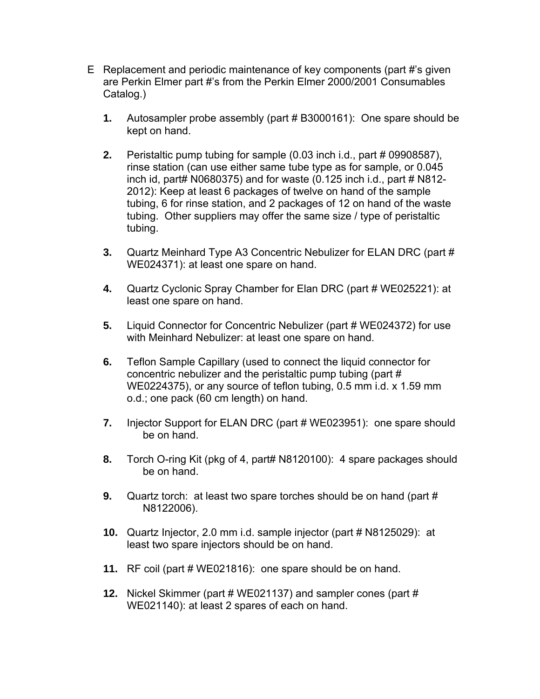- E Replacement and periodic maintenance of key components (part #'s given are Perkin Elmer part #'s from the Perkin Elmer 2000/2001 Consumables Catalog.)
	- **1.** Autosampler probe assembly (part # B3000161): One spare should be kept on hand.
	- **2.** Peristaltic pump tubing for sample (0.03 inch i.d., part # 09908587), rinse station (can use either same tube type as for sample, or 0.045 inch id, part#  $N0680375$ ) and for waste  $(0.125$  inch i.d., part # N812-2012): Keep at least 6 packages of twelve on hand of the sample tubing, 6 for rinse station, and 2 packages of 12 on hand of the waste tubing. Other suppliers may offer the same size / type of peristaltic tubing.
	- **3.** Quartz Meinhard Type A3 Concentric Nebulizer for ELAN DRC (part # WE024371): at least one spare on hand.
	- **4.** Quartz Cyclonic Spray Chamber for Elan DRC (part # WE025221): at least one spare on hand.
	- **5.** Liquid Connector for Concentric Nebulizer (part # WE024372) for use with Meinhard Nebulizer: at least one spare on hand.
	- **6.** Teflon Sample Capillary (used to connect the liquid connector for concentric nebulizer and the peristaltic pump tubing (part # WE0224375), or any source of teflon tubing, 0.5 mm i.d. x 1.59 mm o.d.; one pack (60 cm length) on hand.
	- **7.** Injector Support for ELAN DRC (part # WE023951): one spare should be on hand.
	- **8.** Torch O-ring Kit (pkg of 4, part# N8120100): 4 spare packages should be on hand.
	- **9.** Quartz torch: at least two spare torches should be on hand (part # N8122006).
	- **10.** Quartz Injector, 2.0 mm i.d. sample injector (part # N8125029): at least two spare injectors should be on hand.
	- **11.** RF coil (part # WE021816): one spare should be on hand.
	- **12.** Nickel Skimmer (part # WE021137) and sampler cones (part # WE021140): at least 2 spares of each on hand.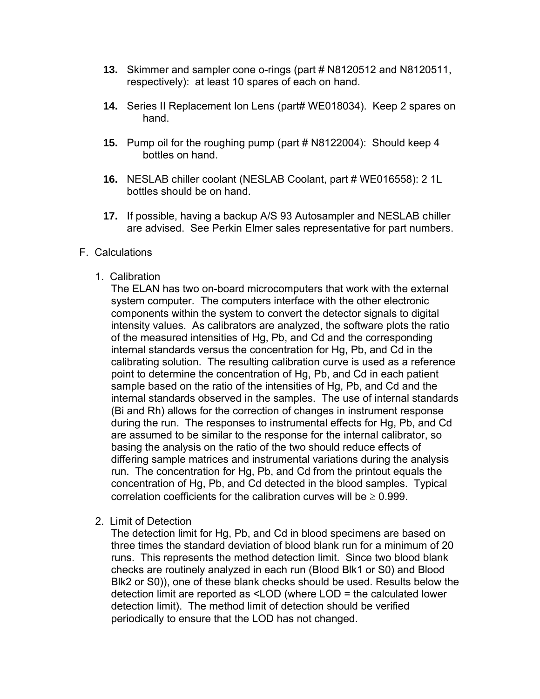- **13.** Skimmer and sampler cone o-rings (part # N8120512 and N8120511, respectively): at least 10 spares of each on hand.
- **14.** Series II Replacement Ion Lens (part# WE018034). Keep 2 spares on hand.
- **15.** Pump oil for the roughing pump (part # N8122004): Should keep 4 bottles on hand.
- **16.** NESLAB chiller coolant (NESLAB Coolant, part # WE016558): 2 1L bottles should be on hand.
- **17.** If possible, having a backup A/S 93 Autosampler and NESLAB chiller are advised. See Perkin Elmer sales representative for part numbers.

#### F. Calculations

1. Calibration

The ELAN has two on-board microcomputers that work with the external system computer. The computers interface with the other electronic components within the system to convert the detector signals to digital intensity values. As calibrators are analyzed, the software plots the ratio of the measured intensities of Hg, Pb, and Cd and the corresponding internal standards versus the concentration for Hg, Pb, and Cd in the calibrating solution. The resulting calibration curve is used as a reference point to determine the concentration of Hg, Pb, and Cd in each patient sample based on the ratio of the intensities of Hg, Pb, and Cd and the internal standards observed in the samples. The use of internal standards (Bi and Rh) allows for the correction of changes in instrument response during the run. The responses to instrumental effects for Hg, Pb, and Cd are assumed to be similar to the response for the internal calibrator, so basing the analysis on the ratio of the two should reduce effects of differing sample matrices and instrumental variations during the analysis run. The concentration for Hg, Pb, and Cd from the printout equals the concentration of Hg, Pb, and Cd detected in the blood samples. Typical correlation coefficients for the calibration curves will be  $> 0.999$ .

2. Limit of Detection

The detection limit for Hg, Pb, and Cd in blood specimens are based on three times the standard deviation of blood blank run for a minimum of 20 runs. This represents the method detection limit. Since two blood blank checks are routinely analyzed in each run (Blood Blk1 or S0) and Blood Blk2 or S0)), one of these blank checks should be used. Results below the detection limit are reported as <LOD (where LOD = the calculated lower detection limit). The method limit of detection should be verified periodically to ensure that the LOD has not changed.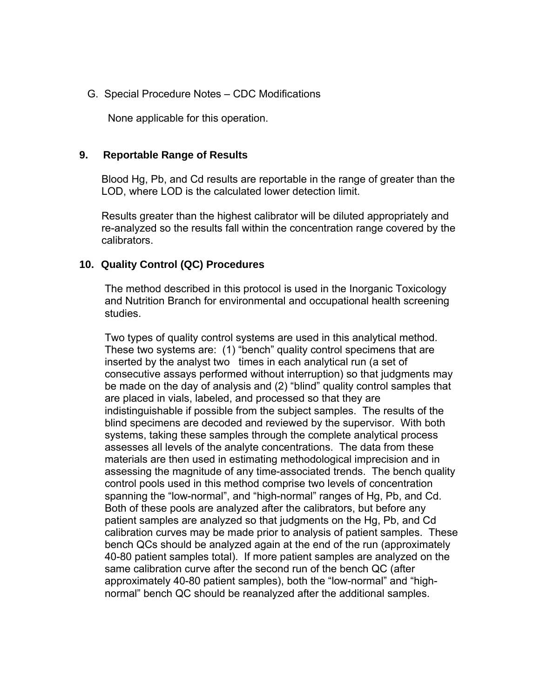<span id="page-30-0"></span>G. Special Procedure Notes – CDC Modifications

None applicable for this operation.

#### **9. Reportable Range of Results**

Blood Hg, Pb, and Cd results are reportable in the range of greater than the LOD, where LOD is the calculated lower detection limit.

Results greater than the highest calibrator will be diluted appropriately and re-analyzed so the results fall within the concentration range covered by the calibrators.

#### **10. Quality Control (QC) Procedures**

The method described in this protocol is used in the Inorganic Toxicology and Nutrition Branch for environmental and occupational health screening studies.

Two types of quality control systems are used in this analytical method. These two systems are: (1) "bench" quality control specimens that are inserted by the analyst two times in each analytical run (a set of consecutive assays performed without interruption) so that judgments may be made on the day of analysis and (2) "blind" quality control samples that are placed in vials, labeled, and processed so that they are indistinguishable if possible from the subject samples. The results of the blind specimens are decoded and reviewed by the supervisor. With both systems, taking these samples through the complete analytical process assesses all levels of the analyte concentrations. The data from these materials are then used in estimating methodological imprecision and in assessing the magnitude of any time-associated trends. The bench quality control pools used in this method comprise two levels of concentration spanning the "low-normal", and "high-normal" ranges of Hg, Pb, and Cd. Both of these pools are analyzed after the calibrators, but before any patient samples are analyzed so that judgments on the Hg, Pb, and Cd calibration curves may be made prior to analysis of patient samples. These bench QCs should be analyzed again at the end of the run (approximately 40-80 patient samples total). If more patient samples are analyzed on the same calibration curve after the second run of the bench QC (after approximately 40-80 patient samples), both the "low-normal" and "highnormal" bench QC should be reanalyzed after the additional samples.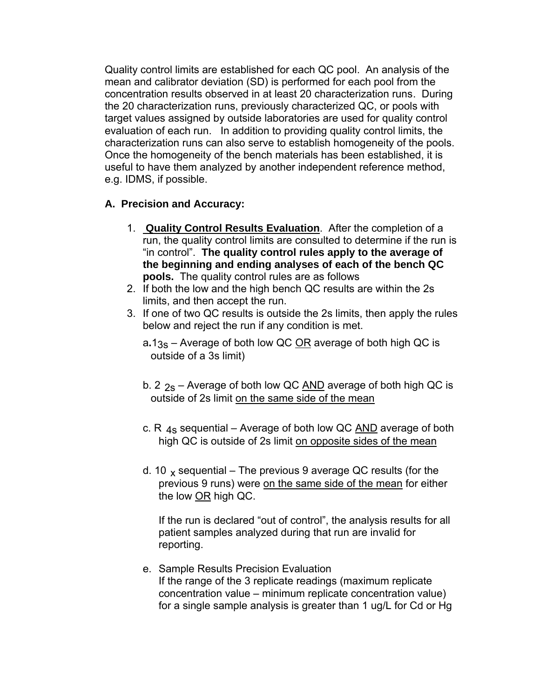Quality control limits are established for each QC pool. An analysis of the mean and calibrator deviation (SD) is performed for each pool from the concentration results observed in at least 20 characterization runs. During the 20 characterization runs, previously characterized QC, or pools with target values assigned by outside laboratories are used for quality control evaluation of each run. In addition to providing quality control limits, the characterization runs can also serve to establish homogeneity of the pools. Once the homogeneity of the bench materials has been established, it is useful to have them analyzed by another independent reference method, e.g. IDMS, if possible.

### **A. Precision and Accuracy:**

- 1. **Quality Control Results Evaluation**. After the completion of a run, the quality control limits are consulted to determine if the run is "in control". **The quality control rules apply to the average of the beginning and ending analyses of each of the bench QC pools.** The quality control rules are as follows
- 2. If both the low and the high bench QC results are within the 2s limits, and then accept the run.
- 3. If one of two QC results is outside the 2s limits, then apply the rules below and reject the run if any condition is met.

a**.**13s – Average of both low QC OR average of both high QC is outside of a 3s limit)

- b. 2  $_{2s}$  Average of both low QC  $\overline{AND}$  average of both high QC is outside of 2s limit on the same side of the mean
- c. R  $_{4s}$  sequential Average of both low QC  $\overline{AND}$  average of both high QC is outside of 2s limit on opposite sides of the mean
- d. 10  $\times$  sequential The previous 9 average QC results (for the previous 9 runs) were on the same side of the mean for either the low OR high QC.

If the run is declared "out of control", the analysis results for all patient samples analyzed during that run are invalid for reporting.

e. Sample Results Precision Evaluation If the range of the 3 replicate readings (maximum replicate concentration value – minimum replicate concentration value) for a single sample analysis is greater than 1 ug/L for Cd or Hg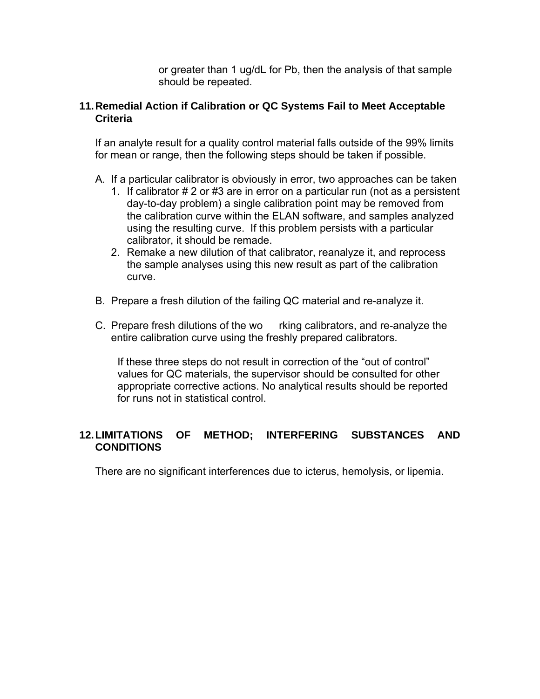or greater than 1 ug/dL for Pb, then the analysis of that sample should be repeated.

### **11.Remedial Action if Calibration or QC Systems Fail to Meet Acceptable Criteria**

If an analyte result for a quality control material falls outside of the 99% limits for mean or range, then the following steps should be taken if possible.

- A. If a particular calibrator is obviously in error, two approaches can be taken
	- 1. If calibrator # 2 or #3 are in error on a particular run (not as a persistent day-to-day problem) a single calibration point may be removed from the calibration curve within the ELAN software, and samples analyzed using the resulting curve. If this problem persists with a particular calibrator, it should be remade.
	- 2. Remake a new dilution of that calibrator, reanalyze it, and reprocess the sample analyses using this new result as part of the calibration curve.
- B. Prepare a fresh dilution of the failing QC material and re-analyze it.
- C. Prepare fresh dilutions of the wo rking calibrators, and re-analyze the entire calibration curve using the freshly prepared calibrators.

If these three steps do not result in correction of the "out of control" values for QC materials, the supervisor should be consulted for other appropriate corrective actions. No analytical results should be reported for runs not in statistical control.

### **12. LIMITATIONS OF METHOD; INTERFERING SUBSTANCES AND CONDITIONS**

There are no significant interferences due to icterus, hemolysis, or lipemia.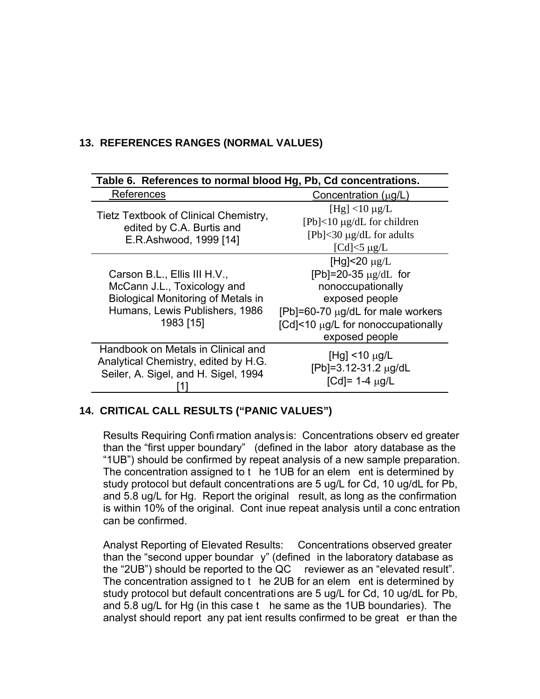### **13. REFERENCES RANGES (NORMAL VALUES)**

| Table 6. References to normal blood Hg, Pb, Cd concentrations.                                                                                          |                                                                                                                                                                                             |  |  |  |
|---------------------------------------------------------------------------------------------------------------------------------------------------------|---------------------------------------------------------------------------------------------------------------------------------------------------------------------------------------------|--|--|--|
| References                                                                                                                                              | Concentration $(\mu g/L)$                                                                                                                                                                   |  |  |  |
| Tietz Textbook of Clinical Chemistry,<br>edited by C.A. Burtis and<br>E.R.Ashwood, 1999 [14]                                                            | [Hg] $<$ 10 $\mu$ g/L<br>$[Pb] < 10 \mu g/dL$ for children<br>[ $Pb$ ]<30 $\mu$ g/dL for adults<br>[Cd] $<$ 5 µg/L                                                                          |  |  |  |
| Carson B.L., Ellis III H.V.,<br>McCann J.L., Toxicology and<br><b>Biological Monitoring of Metals in</b><br>Humans, Lewis Publishers, 1986<br>1983 [15] | [Hg] $<$ 20 $\mu$ g/L<br>[Pb]=20-35 $\mu$ g/dL for<br>nonoccupationally<br>exposed people<br>[Pb]=60-70 $\mu$ g/dL for male workers<br>[Cd]<10 µg/L for nonoccupationally<br>exposed people |  |  |  |
| Handbook on Metals in Clinical and<br>Analytical Chemistry, edited by H.G.<br>Seiler, A. Sigel, and H. Sigel, 1994                                      | [Hg] $<$ 10 $\mu$ g/L<br>[Pb]=3.12-31.2 μg/dL<br>[Cd]= 1-4 $\mu$ g/L                                                                                                                        |  |  |  |

### **14. CRITICAL CALL RESULTS ("PANIC VALUES")**

Results Requiring Confi rmation analysis: Concentrations observ ed greater than the "first upper boundary" (defined in the labor atory database as the "1UB") should be confirmed by repeat analysis of a new sample preparation. The concentration assigned to t he 1UB for an elem ent is determined by study protocol but default concentrations are 5 ug/L for Cd, 10 ug/dL for Pb, and 5.8 ug/L for Hg. Report the original result, as long as the confirmation is within 10% of the original. Cont inue repeat analysis until a conc entration can be confirmed.

Analyst Reporting of Elevated Results: Concentrations observed greater than the "second upper boundar y" (defined in the laboratory database as the "2UB") should be reported to the QC reviewer as an "elevated result". The concentration assigned to t he 2UB for an elem ent is determined by study protocol but default concentrations are 5 ug/L for Cd, 10 ug/dL for Pb, and 5.8 ug/L for Hg (in this case t he same as the 1UB boundaries). The analyst should report any pat ient results confirmed to be great er than the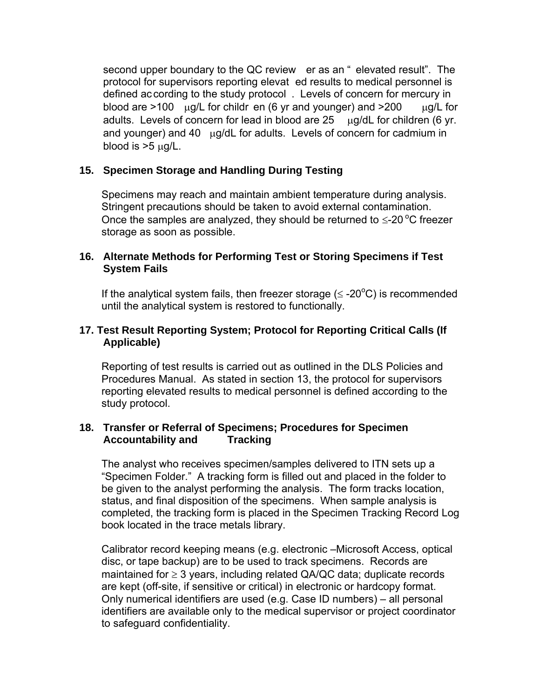second upper boundary to the QC review er as an " elevated result". The protocol for supervisors reporting elevat ed results to medical personnel is defined according to the study protocol . Levels of concern for mercury in blood are >100 μg/L for childr en (6 yr and younger) and >200 μg/L for adults. Levels of concern for lead in blood are 25 μg/dL for children (6 yr. and younger) and 40 μg/dL for adults. Levels of concern for cadmium in blood is  $>5 \mu g/L$ .

### **15. Specimen Storage and Handling During Testing**

Specimens may reach and maintain ambient temperature during analysis. Stringent precautions should be taken to avoid external contamination. Once the samples are analyzed, they should be returned to  $\leq$ -20 °C freezer storage as soon as possible.

### **16. Alternate Methods for Performing Test or Storing Specimens if Test System Fails**

If the analytical system fails, then freezer storage  $(\leq$  -20 $^{\circ}$ C) is recommended until the analytical system is restored to functionally.

### **17. Test Result Reporting System; Protocol for Reporting Critical Calls (If Applicable)**

Reporting of test results is carried out as outlined in the DLS Policies and Procedures Manual. As stated in section 13, the protocol for supervisors reporting elevated results to medical personnel is defined according to the study protocol.

### **18. Transfer or Referral of Specimens; Procedures for Specimen Accountability and Tracking**

The analyst who receives specimen/samples delivered to ITN sets up a "Specimen Folder." A tracking form is filled out and placed in the folder to be given to the analyst performing the analysis. The form tracks location, status, and final disposition of the specimens. When sample analysis is completed, the tracking form is placed in the Specimen Tracking Record Log book located in the trace metals library.

Calibrator record keeping means (e.g. electronic –Microsoft Access, optical disc, or tape backup) are to be used to track specimens. Records are maintained for  $\geq 3$  years, including related QA/QC data; duplicate records are kept (off-site, if sensitive or critical) in electronic or hardcopy format. Only numerical identifiers are used (e.g. Case ID numbers) – all personal identifiers are available only to the medical supervisor or project coordinator to safeguard confidentiality.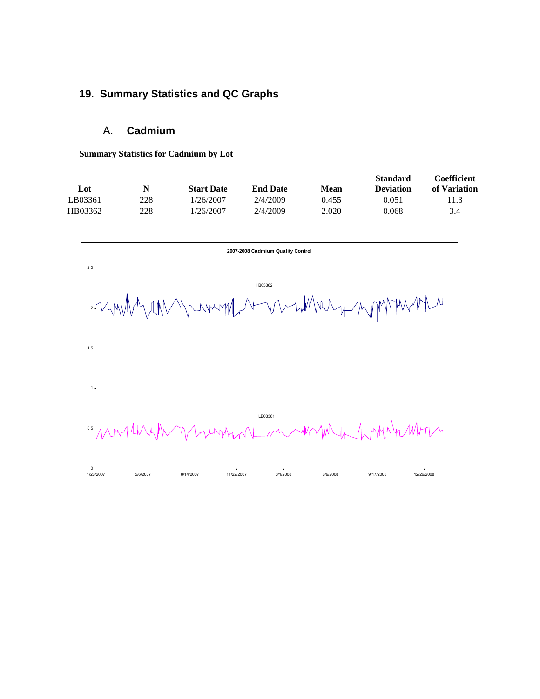### **19. Summary Statistics and QC Graphs**

### A. **Cadmium**

**Summary Statistics for Cadmium by Lot** 

| N   | <b>Start Date</b> | <b>End Date</b> | Mean  | <b>Standard</b><br><b>Deviation</b> | <b>Coefficient</b><br>of Variation |
|-----|-------------------|-----------------|-------|-------------------------------------|------------------------------------|
| 228 | 1/26/2007         | 2/4/2009        | 0.455 | 0.051                               | 11.3                               |
| 228 | 1/26/2007         | 2/4/2009        | 2.020 | 0.068                               | 3.4                                |
|     |                   |                 |       |                                     |                                    |

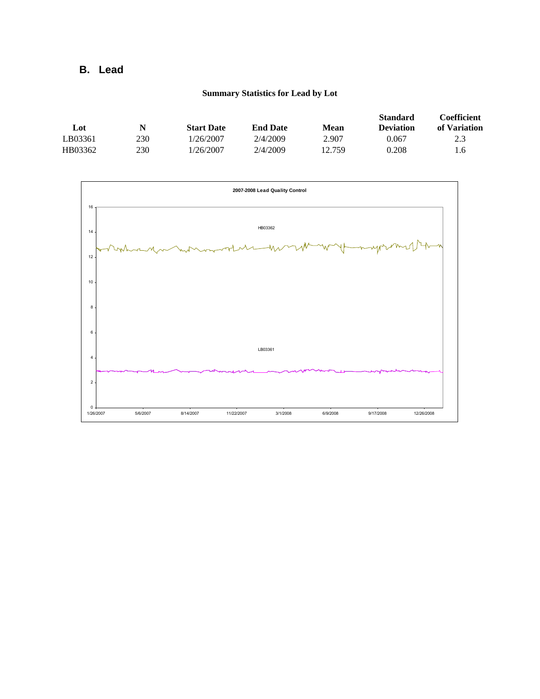### **B. Lead**

#### **Summary Statistics for Lead by Lot**

| Lot     | N   | <b>Start Date</b> | <b>End Date</b> | Mean   | <b>Standard</b><br><b>Deviation</b> | <b>Coefficient</b><br>of Variation |
|---------|-----|-------------------|-----------------|--------|-------------------------------------|------------------------------------|
| LB03361 | 230 | 1/26/2007         | 2/4/2009        | 2.907  | 0.067                               | 2.3                                |
| HB03362 | 230 | /26/2007          | 2/4/2009        | 12.759 | 0.208                               |                                    |

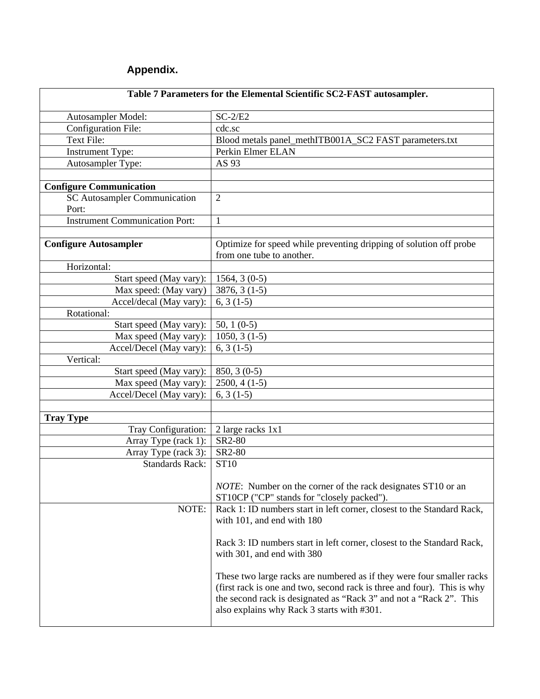## **Appendix.**

| Table 7 Parameters for the Elemental Scientific SC2-FAST autosampler. |                                                                                                                                                                                                                                                                      |
|-----------------------------------------------------------------------|----------------------------------------------------------------------------------------------------------------------------------------------------------------------------------------------------------------------------------------------------------------------|
| Autosampler Model:                                                    | $SC-2/E2$                                                                                                                                                                                                                                                            |
| Configuration File:                                                   | cdc.sc                                                                                                                                                                                                                                                               |
| Text File:                                                            | Blood metals panel_methITB001A_SC2 FAST parameters.txt                                                                                                                                                                                                               |
| <b>Instrument Type:</b>                                               | Perkin Elmer ELAN                                                                                                                                                                                                                                                    |
| Autosampler Type:                                                     | AS 93                                                                                                                                                                                                                                                                |
|                                                                       |                                                                                                                                                                                                                                                                      |
| <b>Configure Communication</b>                                        |                                                                                                                                                                                                                                                                      |
| <b>SC Autosampler Communication</b>                                   | $\overline{2}$                                                                                                                                                                                                                                                       |
| Port:                                                                 |                                                                                                                                                                                                                                                                      |
| <b>Instrument Communication Port:</b>                                 | $\mathbf{1}$                                                                                                                                                                                                                                                         |
|                                                                       |                                                                                                                                                                                                                                                                      |
| <b>Configure Autosampler</b>                                          | Optimize for speed while preventing dripping of solution off probe<br>from one tube to another.                                                                                                                                                                      |
| Horizontal:                                                           |                                                                                                                                                                                                                                                                      |
| Start speed (May vary):                                               | $1564, 3(0-5)$                                                                                                                                                                                                                                                       |
| Max speed: (May vary)                                                 | $3876, 3(1-5)$                                                                                                                                                                                                                                                       |
| Accel/decal (May vary):                                               | $6, 3(1-5)$                                                                                                                                                                                                                                                          |
| Rotational:                                                           |                                                                                                                                                                                                                                                                      |
| Start speed (May vary):                                               | 50, 1 $(0-5)$                                                                                                                                                                                                                                                        |
| Max speed (May vary):                                                 | $1050, 3(1-5)$                                                                                                                                                                                                                                                       |
| Accel/Decel (May vary):                                               | $6, 3(1-5)$                                                                                                                                                                                                                                                          |
| Vertical:                                                             |                                                                                                                                                                                                                                                                      |
| Start speed (May vary):                                               | $850, 3(0-5)$                                                                                                                                                                                                                                                        |
| Max speed (May vary):                                                 | $2500, 4(1-5)$                                                                                                                                                                                                                                                       |
| Accel/Decel (May vary):                                               | $6, 3(1-5)$                                                                                                                                                                                                                                                          |
|                                                                       |                                                                                                                                                                                                                                                                      |
| <b>Tray Type</b>                                                      |                                                                                                                                                                                                                                                                      |
| Tray Configuration:                                                   | 2 large racks 1x1                                                                                                                                                                                                                                                    |
| Array Type (rack 1):                                                  | SR2-80                                                                                                                                                                                                                                                               |
| Array Type (rack 3):                                                  | SR2-80                                                                                                                                                                                                                                                               |
| <b>Standards Rack:</b>                                                | <b>ST10</b>                                                                                                                                                                                                                                                          |
|                                                                       | NOTE: Number on the corner of the rack designates ST10 or an<br>ST10CP ("CP" stands for "closely packed").                                                                                                                                                           |
| NOTE:                                                                 | Rack 1: ID numbers start in left corner, closest to the Standard Rack,                                                                                                                                                                                               |
|                                                                       | with 101, and end with 180                                                                                                                                                                                                                                           |
|                                                                       | Rack 3: ID numbers start in left corner, closest to the Standard Rack,<br>with 301, and end with 380                                                                                                                                                                 |
|                                                                       | These two large racks are numbered as if they were four smaller racks<br>(first rack is one and two, second rack is three and four). This is why<br>the second rack is designated as "Rack 3" and not a "Rack 2". This<br>also explains why Rack 3 starts with #301. |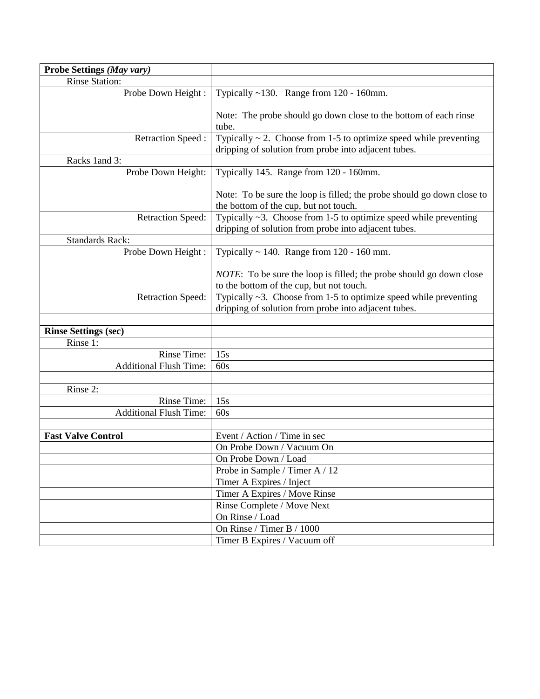| Probe Settings (May vary)     |                                                                                                                                |
|-------------------------------|--------------------------------------------------------------------------------------------------------------------------------|
| <b>Rinse Station:</b>         |                                                                                                                                |
| Probe Down Height:            | Typically $~130$ . Range from 120 - 160mm.                                                                                     |
|                               | Note: The probe should go down close to the bottom of each rinse<br>tube.                                                      |
| Retraction Speed:             | Typically $\sim$ 2. Choose from 1-5 to optimize speed while preventing<br>dripping of solution from probe into adjacent tubes. |
| Racks 1 and 3:                |                                                                                                                                |
| Probe Down Height:            | Typically 145. Range from 120 - 160mm.                                                                                         |
|                               | Note: To be sure the loop is filled; the probe should go down close to<br>the bottom of the cup, but not touch.                |
| <b>Retraction Speed:</b>      | Typically $\sim$ 3. Choose from 1-5 to optimize speed while preventing<br>dripping of solution from probe into adjacent tubes. |
| <b>Standards Rack:</b>        |                                                                                                                                |
| Probe Down Height:            | Typically $\sim$ 140. Range from 120 - 160 mm.                                                                                 |
|                               | <i>NOTE</i> : To be sure the loop is filled; the probe should go down close<br>to the bottom of the cup, but not touch.        |
| <b>Retraction Speed:</b>      | Typically $\sim$ 3. Choose from 1-5 to optimize speed while preventing<br>dripping of solution from probe into adjacent tubes. |
| <b>Rinse Settings (sec)</b>   |                                                                                                                                |
| Rinse 1:                      |                                                                                                                                |
| Rinse Time:                   | 15s                                                                                                                            |
| <b>Additional Flush Time:</b> | 60s                                                                                                                            |
| Rinse 2:                      |                                                                                                                                |
| Rinse Time:                   | 15s                                                                                                                            |
| <b>Additional Flush Time:</b> | 60s                                                                                                                            |
|                               |                                                                                                                                |
| <b>Fast Valve Control</b>     | Event / Action / Time in sec                                                                                                   |
|                               | On Probe Down / Vacuum On                                                                                                      |
|                               | On Probe Down / Load                                                                                                           |
|                               | Probe in Sample / Timer A / 12                                                                                                 |
|                               | Timer A Expires / Inject                                                                                                       |
|                               | Timer A Expires / Move Rinse                                                                                                   |
|                               | Rinse Complete / Move Next                                                                                                     |
|                               | On Rinse / Load                                                                                                                |
|                               | On Rinse / Timer B / 1000                                                                                                      |
|                               | Timer B Expires / Vacuum off                                                                                                   |